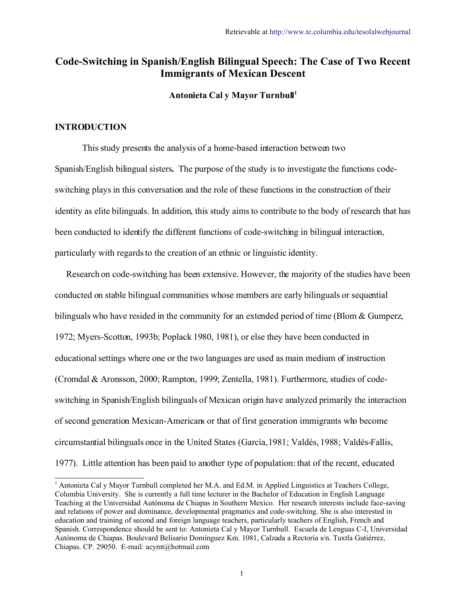## **Code-Switching in Spanish/English Bilingual Speech: The Case of Two Recent Immigrants of Mexican Descent**

**Antonieta Cal y Mayor Turnbull [1](#page-0-0)**

#### **INTRODUCTION**

This study presents the analysis of a home-based interaction between two Spanish/English bilingual sisters**.** The purpose of the study is to investigate the functions codeswitching plays in this conversation and the role of these functions in the construction of their identity as elite bilinguals. In addition, this study aims to contribute to the body of research that has been conducted to identify the different functions of code-switching in bilingual interaction, particularly with regards to the creation of an ethnic or linguistic identity.

 Research on code-switching has been extensive. However, the majority of the studies have been conducted on stable bilingual communities whose members are early bilinguals or sequential bilinguals who have resided in the community for an extended period of time (Blom & Gumperz, 1972; Myers-Scotton, 1993b; Poplack 1980, 1981), or else they have been conducted in educational settings where one or the two languages are used as main medium of instruction (Cromdal & Aronsson, 2000; Rampton, 1999; Zentella, 1981). Furthermore, studies of codeswitching in Spanish/English bilinguals of Mexican origin have analyzed primarily the interaction of second generation Mexican-Americans or that of first generation immigrants who become circumstantial bilinguals once in the United States (García, 1981; Valdés, 1988; Valdés-Fallis, 1977). Little attention has been paid to another type of population: that of the recent, educated

<span id="page-0-0"></span><sup>1</sup> Antonieta Cal y Mayor Turnbull completed her M.A. and Ed.M. in Applied Linguistics at Teachers College, Columbia University. She is currently a full time lecturer in the Bachelor of Education in English Language Teaching at the Universidad Autónoma de Chiapas in Southern Mexico. Her research interests include face-saving and relations of power and dominance, developmental pragmatics and code-switching. She is also interested in education and training of second and foreign language teachers, particularly teachers of English, French and Spanish. Correspondence should be sent to: Antonieta Cal y Mayor Turnbull. Escuela de Lenguas C-I, Universidad Autónoma de Chiapas. Boulevard Belisario Domínguez Km. 1081, Calzada a Rectoría s/n. Tuxtla Gutiérrez, Chiapas. CP. 29050. E-mail: acymt@hotmail.com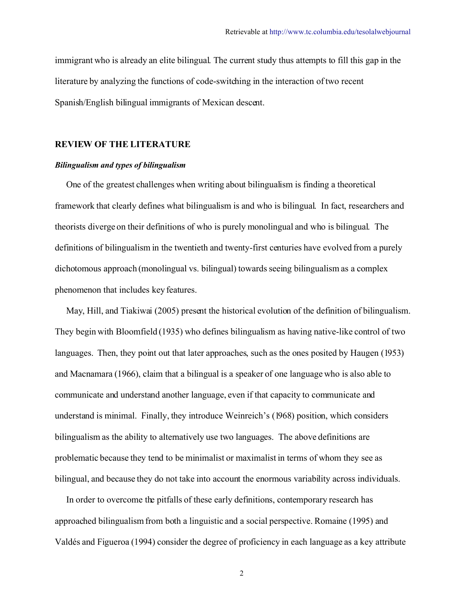immigrant who is already an elite bilingual. The current study thus attempts to fill this gap in the literature by analyzing the functions of code-switching in the interaction oftwo recent Spanish/English bilingual immigrants of Mexican descent.

## **REVIEW OF THE LITERATURE**

#### *Bilingualism and types of bilingualism*

 One of the greatest challenges when writing about bilingualism is finding a theoretical framework that clearly defines what bilingualism is and who is bilingual. In fact, researchers and theorists diverge on their definitions of who is purely monolingual and who is bilingual. The definitions of bilingualism in the twentieth and twenty-first centuries have evolved from a purely dichotomous approach (monolingual vs. bilingual) towards seeing bilingualism as a complex phenomenon that includes key features.

 May, Hill, and Tiakiwai (2005) present the historical evolution of the definition of bilingualism. They begin with Bloomfield (1935) who defines bilingualism as having native-like control of two languages. Then, they point out that later approaches, such as the ones posited by Haugen (1953) and Macnamara (1966), claim that a bilingual is a speaker of one language who is also able to communicate and understand another language, even if that capacity to communicate and understand is minimal. Finally, they introduce Weinreich's (1968) position, which considers bilingualism as the ability to alternatively use two languages. The above definitions are problematic because they tend to be minimalist or maximalist in terms of whom they see as bilingual, and because they do not take into account the enormous variability across individuals.

 In order to overcome the pitfalls of these early definitions, contemporary research has approached bilingualismfrom both a linguistic and a social perspective. Romaine (1995) and Valdés and Figueroa (1994) consider the degree of proficiency in each language as a key attribute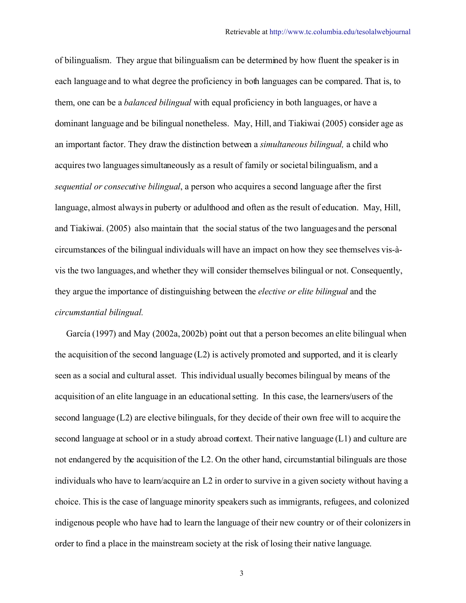of bilingualism. They argue that bilingualism can be determined by how fluent the speaker is in each language and to what degree the proficiency in both languages can be compared. That is, to them, one can be a *balanced bilingual* with equal proficiency in both languages, or have a dominant language and be bilingual nonetheless. May, Hill, and Tiakiwai (2005) consider age as an important factor. They draw the distinction between a *simultaneous bilingual,* a child who acquires two languages simultaneously as a result of family or societal bilingualism, and a *sequential or consecutive bilingual*, a person who acquires a second language after the first language, almost always in puberty or adulthood and often as the result of education. May, Hill, and Tiakiwai. (2005) also maintain that the social status of the two languages and the personal circumstances of the bilingual individuals will have an impact on how they see themselves vis-àvis the two languages, and whether they will consider themselves bilingual or not. Consequently, they argue the importance of distinguishing between the *elective or elite bilingual* and the *circumstantial bilingual.*

García (1997) and May (2002a, 2002b) point out that a person becomes an elite bilingual when the acquisition of the second language (L2) is actively promoted and supported, and it is clearly seen as a social and cultural asset. This individual usually becomes bilingual by means of the acquisition of an elite language in an educational setting. In this case, the learners/users of the second language  $(L2)$  are elective bilinguals, for they decide of their own free will to acquire the second language at school or in a study abroad context. Their native language (L1) and culture are not endangered by the acquisition of the L2. On the other hand, circumstantial bilinguals are those individuals who have to learn/acquire an L2 in order to survive in a given society without having a choice. This is the case of language minority speakers such as immigrants, refugees, and colonized indigenous people who have had to learn the language of their new country or of their colonizers in order to find a place in the mainstream society at the risk of losing their native language.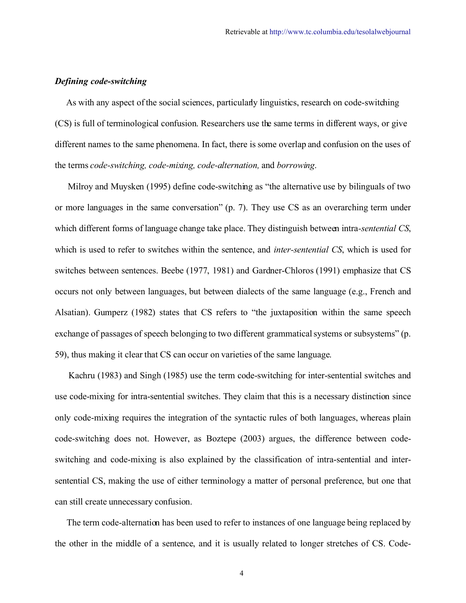#### *Defining code-switching*

 As with any aspect ofthe social sciences, particularly linguistics, research on code-switching (CS) is full of terminological confusion. Researchers use the same terms in different ways, or give different names to the same phenomena. In fact, there is some overlap and confusion on the uses of the terms *code-switching, code-mixing, code-alternation,* and *borrowing*.

Milroy and Muysken (1995) define code-switching as "the alternative use by bilinguals of two or more languages in the same conversation" (p. 7). They use CS as an overarching term under which different forms of language change take place. They distinguish between intra*-sentential CS*, which is used to refer to switches within the sentence, and *inter-sentential CS*, which is used for switches between sentences. Beebe (1977, 1981) and Gardner-Chloros (1991) emphasize that CS occurs not only between languages, but between dialects of the same language (e.g., French and Alsatian). Gumperz (1982) states that CS refers to "the juxtaposition within the same speech exchange of passages of speech belonging to two different grammatical systems or subsystems" (p. 59), thus making it clear that CS can occur on varieties of the same language.

Kachru (1983) and Singh (1985) use the term code-switching for inter-sentential switches and use code-mixing for intra-sentential switches. They claim that this is a necessary distinction since only code-mixing requires the integration of the syntactic rules of both languages, whereas plain code-switching does not. However, as Boztepe (2003) argues, the difference between codeswitching and code-mixing is also explained by the classification of intra-sentential and intersentential CS, making the use of either terminology a matter of personal preference, but one that can still create unnecessary confusion.

The term code-alternation has been used to refer to instances of one language being replaced by the other in the middle of a sentence, and it is usually related to longer stretches of CS. Code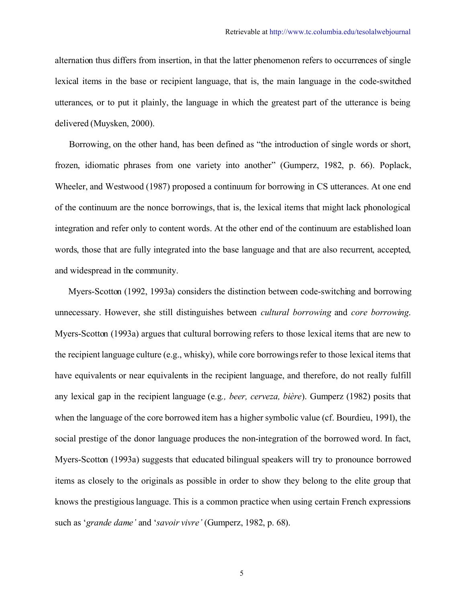alternation thus differs from insertion, in that the latter phenomenon refers to occurrences of single lexical items in the base or recipient language, that is, the main language in the code-switched utterances, or to put it plainly, the language in which the greatest part of the utterance is being delivered (Muysken, 2000).

Borrowing, on the other hand, has been defined as "the introduction of single words or short, frozen, idiomatic phrases from one variety into another" (Gumperz, 1982, p. 66). Poplack, Wheeler, and Westwood (1987) proposed a continuum for borrowing in CS utterances. At one end of the continuum are the nonce borrowings, that is, the lexical items that might lack phonological integration and refer only to content words. At the other end of the continuum are established loan words, those that are fully integrated into the base language and that are also recurrent, accepted, and widespread in the community.

Myers-Scotton (1992, 1993a) considers the distinction between code-switching and borrowing unnecessary. However, she still distinguishes between *cultural borrowing* and *core borrowing*. Myers-Scotton (1993a) argues that cultural borrowing refers to those lexical items that are new to the recipient language culture (e.g., whisky), while core borrowings refer to those lexical items that have equivalents or near equivalents in the recipient language, and therefore, do not really fulfill any lexical gap in the recipient language (e.g*., beer, cerveza, bière*). Gumperz (1982) posits that when the language of the core borrowed item has a higher symbolic value (cf. Bourdieu, 1991), the social prestige of the donor language produces the non-integration of the borrowed word. In fact, Myers-Scotton (1993a) suggests that educated bilingual speakers will try to pronounce borrowed items as closely to the originals as possible in order to show they belong to the elite group that knows the prestigiouslanguage. This is a common practice when using certain French expressions such as '*grande dame'* and '*savoir vivre'* (Gumperz, 1982, p. 68).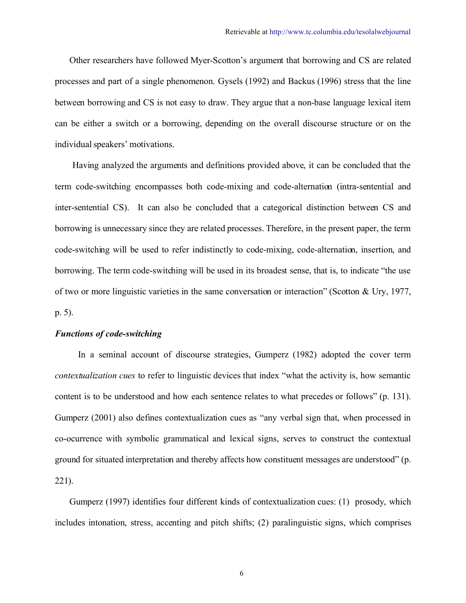Other researchers have followed Myer-Scotton's argument that borrowing and CS are related processes and part of a single phenomenon. Gysels (1992) and Backus (1996) stress that the line between borrowing and CS is not easy to draw. They argue that a non-base language lexical item can be either a switch or a borrowing, depending on the overall discourse structure or on the individual speakers' motivations.

Having analyzed the arguments and definitions provided above, it can be concluded that the term code-switching encompasses both code-mixing and code-alternation (intra-sentential and inter-sentential CS). It can also be concluded that a categorical distinction between CS and borrowing is unnecessary since they are related processes. Therefore, in the present paper, the term code-switching will be used to refer indistinctly to code-mixing, code-alternation, insertion, and borrowing. The term code-switching will be used in its broadest sense, that is, to indicate "the use of two or more linguistic varieties in the same conversation or interaction" (Scotton & Ury, 1977, p. 5).

#### *Functions of code-switching*

In a seminal account of discourse strategies, Gumperz (1982) adopted the cover term *contextualization cues* to refer to linguistic devices that index "what the activity is, how semantic content is to be understood and how each sentence relates to what precedes or follows" (p. 131). Gumperz (2001) also defines contextualization cues as "any verbal sign that, when processed in co-ocurrence with symbolic grammatical and lexical signs, serves to construct the contextual ground for situated interpretation and thereby affects how constituent messages are understood" (p. 221).

Gumperz (1997) identifies four different kinds of contextualization cues: (1) prosody, which includes intonation, stress, accenting and pitch shifts; (2) paralinguistic signs, which comprises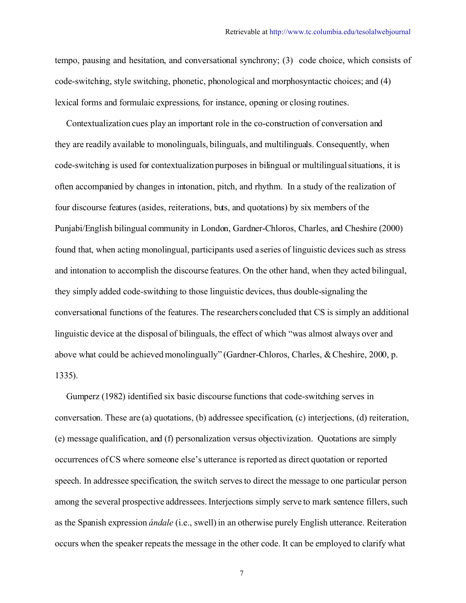tempo, pausing and hesitation, and conversational synchrony; (3) code choice, which consists of code-switching, style switching, phonetic, phonological and morphosyntactic choices; and (4) lexical forms and formulaic expressions, for instance, opening or closing routines.

 Contextualization cues play an important role in the co-construction of conversation and they are readily available to monolinguals, bilinguals, and multilinguals. Consequently, when code-switching is used for contextualization purposes in bilingual or multilingual situations, it is often accompanied by changes in intonation, pitch, and rhythm. In a study of the realization of four discourse features (asides, reiterations, buts, and quotations) by six members of the Punjabi/English bilingual community in London, Gardner-Chloros, Charles, and Cheshire (2000) found that, when acting monolingual, participants used a series of linguistic devices such as stress and intonation to accomplish the discourse features. On the other hand, when they acted bilingual, they simply added code-switching to those linguistic devices, thus double-signaling the conversational functions of the features. The researchers concluded that CS is simply an additional linguistic device at the disposal of bilinguals, the effect of which "was almost always over and above what could be achieved monolingually" (Gardner-Chloros, Charles, & Cheshire, 2000, p. 1335).

 Gumperz (1982) identified six basic discourse functions that code-switching serves in conversation. These are (a) quotations, (b) addressee specification, (c) interjections, (d) reiteration, (e) message qualification, and (f) personalization versus objectivization. Quotations are simply occurrences ofCS where someone else's utterance is reported as direct quotation or reported speech. In addressee specification, the switch serves to direct the message to one particular person among the several prospective addressees. Interjections simply serve to mark sentence fillers, such as the Spanish expression *ándale* (i.e., swell) in an otherwise purely English utterance. Reiteration occurs when the speaker repeats the message in the other code. It can be employed to clarify what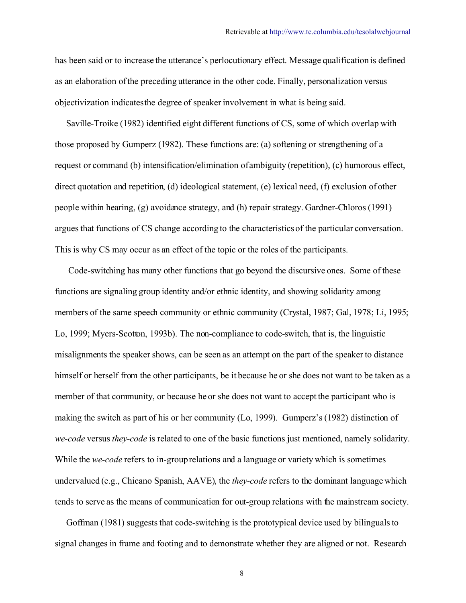has been said or to increase the utterance's perlocutionary effect. Message qualification is defined as an elaboration ofthe preceding utterance in the other code. Finally, personalization versus objectivization indicates the degree of speaker involvement in what is being said.

 Saville-Troike (1982) identified eight different functions of CS, some of which overlap with those proposed by Gumperz (1982). These functions are: (a) softening or strengthening of a request or command (b) intensification/elimination of ambiguity (repetition), (c) humorous effect, direct quotation and repetition, (d) ideological statement, (e) lexical need, (f) exclusion of other people within hearing, (g) avoidance strategy, and (h) repair strategy. Gardner-Chloros (1991) argues that functions of CS change according to the characteristics of the particular conversation. This is why CS may occur as an effect of the topic or the roles of the participants.

 Code-switching has many other functions that go beyond the discursive ones. Some of these functions are signaling group identity and/or ethnic identity, and showing solidarity among members of the same speech community or ethnic community (Crystal, 1987; Gal, 1978; Li, 1995; Lo, 1999; Myers-Scotton, 1993b). The non-compliance to code-switch, that is, the linguistic misalignments the speaker shows, can be seen as an attempt on the part of the speaker to distance himself or herself from the other participants, be it because he or she does not want to be taken as a member of that community, or because he or she does not want to accept the participant who is making the switch as part of his or her community (Lo, 1999). Gumperz's (1982) distinction of *we-code* versus *they-code* is related to one of the basic functions just mentioned, namely solidarity. While the *we-code* refers to in-group relations and a language or variety which is sometimes undervalued (e.g., Chicano Spanish, AAVE), the *they-code* refers to the dominant language which tends to serve as the means of communication for out-group relations with the mainstream society.

 Goffman (1981) suggests that code-switching is the prototypical device used by bilinguals to signal changes in frame and footing and to demonstrate whether they are aligned or not. Research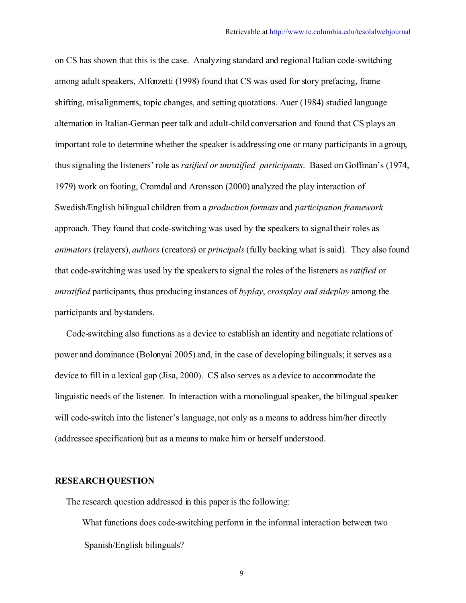on CS has shown that this is the case. Analyzing standard and regional Italian code-switching among adult speakers, Alfonzetti (1998) found that CS was used for story prefacing, frame shifting, misalignments, topic changes, and setting quotations. Auer (1984) studied language alternation in Italian-German peer talk and adult-child conversation and found that CS plays an important role to determine whether the speaker is addressing one or many participants in a group, thus signaling the listeners' role as *ratified or unratified participants*. Based on Goffman's (1974, 1979) work on footing, Cromdal and Aronsson (2000) analyzed the play interaction of Swedish/English bilingual children from a *production formats* and *participation framework* approach*.* They found that code-switching was used by the speakers to signaltheir roles as *animators* (relayers), *authors* (creators) or *principals* (fully backing what is said). They also found that code-switching was used by the speakers to signal the roles of the listeners as *ratified* or *unratified* participants, thus producing instances of *byplay*, *crossplay and sideplay* among the participants and bystanders.

 Code-switching also functions as a device to establish an identity and negotiate relations of power and dominance (Bolonyai 2005) and, in the case of developing bilinguals; it serves as a device to fill in a lexical gap (Jisa, 2000). CS also serves as a device to accommodate the linguistic needs of the listener. In interaction with a monolingual speaker, the bilingual speaker will code-switch into the listener's language, not only as a means to address him/her directly (addressee specification) but as a means to make him or herself understood.

#### **RESEARCH QUESTION**

The research question addressed in this paper is the following:

What functions does code-switching perform in the informal interaction between two Spanish/English bilinguals?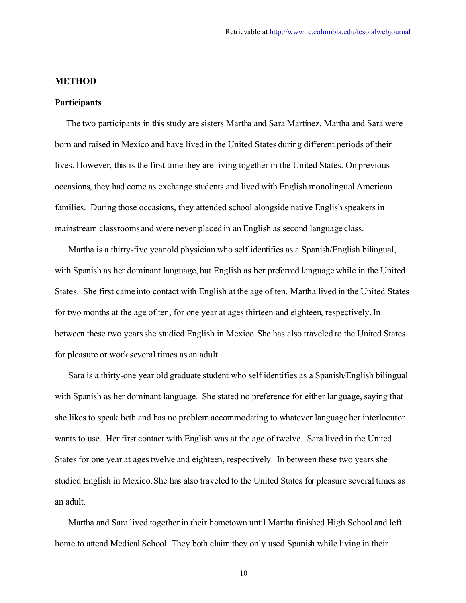#### **METHOD**

#### **Participants**

 The two participants in this study are sisters Martha and Sara Martínez. Martha and Sara were born and raised in Mexico and have lived in the United States during different periods of their lives. However, this is the first time they are living together in the United States. On previous occasions, they had come as exchange students and lived with English monolingual American families. During those occasions, they attended school alongside native English speakers in mainstream classrooms and were never placed in an English as second language class.

 Martha is a thirty-five year old physician who self identifies as a Spanish/English bilingual, with Spanish as her dominant language, but English as her preferred language while in the United States. She first came into contact with English at the age of ten. Martha lived in the United States for two months at the age of ten, for one year at ages thirteen and eighteen, respectively. In between these two years she studied English in Mexico. She has also traveled to the United States for pleasure or work several times as an adult.

 Sara is a thirty-one year old graduate student who self identifies as a Spanish/English bilingual with Spanish as her dominant language. She stated no preference for either language, saying that she likes to speak both and has no problem accommodating to whatever language her interlocutor wants to use. Her first contact with English was at the age of twelve. Sara lived in the United States for one year at agestwelve and eighteen, respectively. In between these two years she studied English in Mexico. She has also traveled to the United States for pleasure several times as an adult.

 Martha and Sara lived together in their hometown until Martha finished High School and left home to attend Medical School. They both claim they only used Spanish while living in their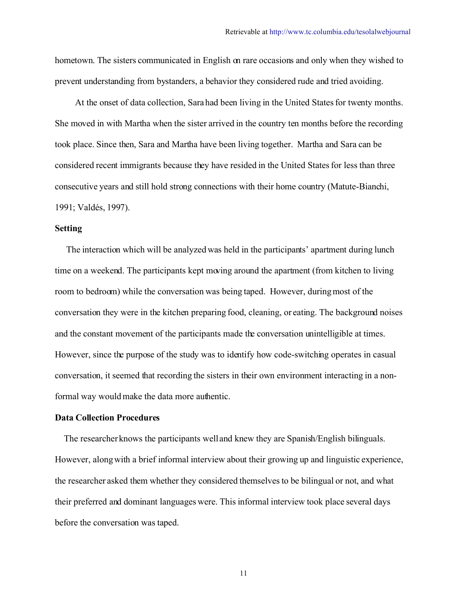hometown. The sisters communicated in English on rare occasions and only when they wished to prevent understanding from bystanders, a behavior they considered rude and tried avoiding.

 At the onset of data collection, Sara had been living in the United States for twenty months. She moved in with Martha when the sister arrived in the country ten months before the recording took place. Since then, Sara and Martha have been living together. Martha and Sara can be considered recent immigrants because they have resided in the United States for less than three consecutive years and still hold strong connections with their home country (Matute-Bianchi, 1991; Valdés, 1997).

#### **Setting**

 The interaction which will be analyzed was held in the participants' apartment during lunch time on a weekend. The participants kept moving around the apartment (from kitchen to living room to bedroom) while the conversation was being taped. However, during most of the conversation they were in the kitchen preparing food, cleaning, or eating. The background noises and the constant movement of the participants made the conversation unintelligible at times. However, since the purpose of the study was to identify how code-switching operates in casual conversation, it seemed that recording the sisters in their own environment interacting in a nonformal way would make the data more authentic.

#### **Data Collection Procedures**

 The researcher knows the participants well and knew they are Spanish/English bilinguals. However, along with a brief informal interview about their growing up and linguistic experience, the researcher asked them whether they considered themselves to be bilingual or not, and what their preferred and dominant languages were. This informal interview took place several days before the conversation was taped.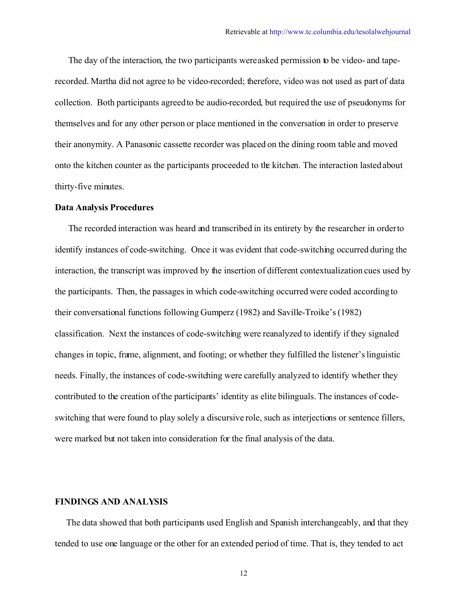The day of the interaction, the two participants were asked permission to be video- and taperecorded. Martha did not agree to be video-recorded; therefore, video was not used as part of data collection. Both participants agreed to be audio-recorded, but required the use of pseudonyms for themselves and for any other person or place mentioned in the conversation in order to preserve their anonymity. A Panasonic cassette recorder was placed on the dining room table and moved onto the kitchen counter as the participants proceeded to the kitchen. The interaction lasted about thirty-five minutes.

#### **Data Analysis Procedures**

 The recorded interaction was heard and transcribed in its entirety by the researcher in order to identify instances of code-switching. Once it was evident that code-switching occurred during the interaction, the transcript was improved by the insertion of different contextualization cues used by the participants. Then, the passages in which code-switching occurred were coded according to their conversational functions following Gumperz (1982) and Saville-Troike's (1982) classification. Next the instances of code-switching were reanalyzed to identify if they signaled changes in topic, frame, alignment, and footing; or whether they fulfilled the listener's linguistic needs. Finally, the instances of code-switching were carefully analyzed to identify whether they contributed to the creation ofthe participants' identity as elite bilinguals. The instances of codeswitching that were found to play solely a discursive role, such as interjections or sentence fillers, were marked but not taken into consideration for the final analysis of the data.

#### **FINDINGS AND ANALYSIS**

 The data showed that both participants used English and Spanish interchangeably, and that they tended to use one language or the other for an extended period of time. That is, they tended to act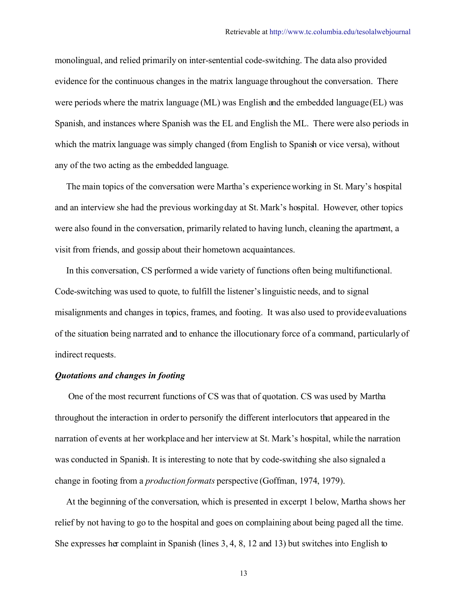monolingual, and relied primarily on inter-sentential code-switching. The data also provided evidence for the continuous changes in the matrix language throughout the conversation. There were periods where the matrix language (ML) was English and the embedded language(EL) was Spanish, and instances where Spanish was the EL and English the ML. There were also periods in which the matrix language was simply changed (from English to Spanish or vice versa), without any of the two acting as the embedded language.

 The main topics of the conversation were Martha's experience working in St. Mary's hospital and an interview she had the previous working day at St. Mark's hospital. However, other topics were also found in the conversation, primarily related to having lunch, cleaning the apartment, a visit from friends, and gossip about their hometown acquaintances.

 In this conversation, CS performed a wide variety of functions often being multifunctional. Code-switching was used to quote, to fulfill the listener's linguistic needs, and to signal misalignments and changes in topics, frames, and footing. It was also used to provide evaluations of the situation being narrated and to enhance the illocutionary force of a command, particularly of indirect requests.

#### *Quotations and changes in footing*

 One of the most recurrent functions of CS was that of quotation. CS was used by Martha throughout the interaction in order to personify the different interlocutors that appeared in the narration of events at her workplace and her interview at St. Mark's hospital, while the narration was conducted in Spanish. It is interesting to note that by code-switching she also signaled a change in footing from a *production formats* perspective (Goffman, 1974, 1979).

 At the beginning of the conversation, which is presented in excerpt 1 below, Martha shows her relief by not having to go to the hospital and goes on complaining about being paged all the time. She expresses her complaint in Spanish (lines 3, 4, 8, 12 and 13) but switches into English to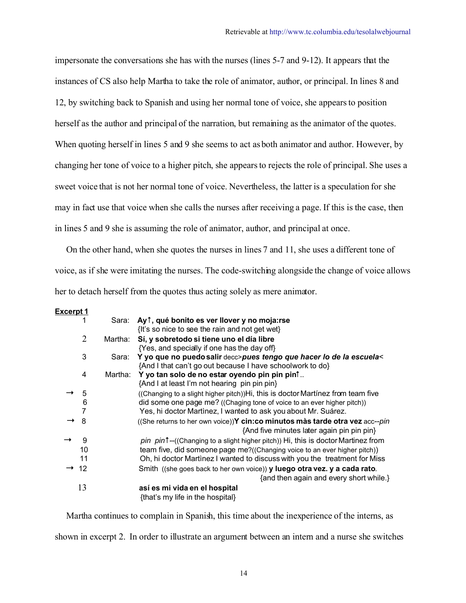impersonate the conversations she has with the nurses (lines 5-7 and 9-12). It appears that the instances of CS also help Martha to take the role of animator, author, or principal. In lines 8 and 12, by switching back to Spanish and using her normal tone of voice, she appears to position herself as the author and principal of the narration, but remaining as the animator of the quotes. When quoting herself in lines 5 and 9 she seems to act as both animator and author. However, by changing her tone of voice to a higher pitch, she appears to rejects the role of principal. She uses a sweet voice that is not her normal tone of voice. Nevertheless, the latter is a speculation for she may in fact use that voice when she calls the nurses after receiving a page. If this is the case, then in lines 5 and 9 she is assuming the role of animator, author, and principal at once.

 On the other hand, when she quotes the nurses in lines 7 and 11, she uses a different tone of voice, as if she were imitating the nurses. The code-switching alongside the change of voice allows her to detach herself from the quotes thus acting solely as mere animator.

#### **Excerpt 1**

|    | Sara:   | Ay <sup><math>\dagger</math></sup> , qué bonito es ver llover y no moja: rse<br>{It's so nice to see the rain and not get wet}   |
|----|---------|----------------------------------------------------------------------------------------------------------------------------------|
| 2  | Martha: | Sí, y sobretodo si tiene uno el día libre                                                                                        |
|    |         | {Yes, and specially if one has the day off}                                                                                      |
| 3  | Sara:   | Y yo que no puedo salir decc>pues tengo que hacer lo de la escuela<<br>{And I that can't go out because I have schoolwork to do} |
| 4  | Martha: | Y yo tan solo de no estar oyendo pin pin pint                                                                                    |
|    |         | {And I at least I'm not hearing pin pin pin}                                                                                     |
| 5  |         | (Changing to a slight higher pitch))Hi, this is doctor Martinez from team five                                                   |
| 6  |         | did some one page me? ((Chaging tone of voice to an ever higher pitch))                                                          |
|    |         | Yes, hi doctor Martinez, I wanted to ask you about Mr. Suárez.                                                                   |
| 8  |         | ((She returns to her own voice))Y cin:co minutos màs tarde otra vez acc--pin                                                     |
|    |         | {And five minutes later again pin pin pin}                                                                                       |
| 9  |         | pin pin <sup>t</sup> --((Changing to a slight higher pitch)) Hi, this is doctor Martinez from                                    |
| 10 |         | team five, did someone page me?((Changing voice to an ever higher pitch))                                                        |
| 11 |         | Oh, hi doctor Martinez I wanted to discuss with you the treatment for Miss                                                       |
| 12 |         | Smith ((she goes back to her own voice)) y luego otra vez. y a cada rato.<br>{and then again and every short while.}             |
| 13 |         | así es mi vida en el hospital<br>{that's my life in the hospital}                                                                |

 Martha continues to complain in Spanish, this time about the inexperience of the interns, as shown in excerpt 2. In order to illustrate an argument between an intern and a nurse she switches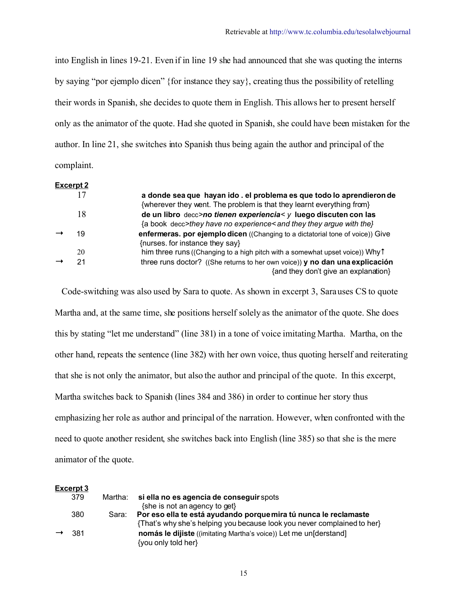into English in lines 19-21. Even if in line 19 she had announced that she was quoting the interns by saying "por ejemplo dicen" {for instance they say}, creating thus the possibility of retelling their words in Spanish, she decides to quote them in English. This allows her to present herself only as the animator of the quote. Had she quoted in Spanish, she could have been mistaken for the author. In line 21, she switches into Spanish thus being again the author and principal of the complaint.

### **Excerpt 2**

| 17 | a donde sea que hayan ido . el problema es que todo lo aprendieron de<br>{wherever they went. The problem is that they learnt everything from} |
|----|------------------------------------------------------------------------------------------------------------------------------------------------|
| 18 | de un libro decc>no tienen experiencia< y luego discuten con las<br>{a book decc>they have no experience< and they they argue with the}        |
| 19 | enfermeras. por ejemplo dicen ((Changing to a dictatorial tone of voice)) Give<br>{nurses. for instance they say}                              |
| 20 | him three runs ((Changing to a high pitch with a somewhat upset voice)) Why t                                                                  |
| 21 | three runs doctor? ((She returns to her own voice)) y no dan una explicación<br>{and they don't give an explanation}                           |

 Code-switching was also used by Sara to quote. As shown in excerpt 3, Sara uses CS to quote Martha and, at the same time, she positions herself solely as the animator of the quote. She does this by stating "let me understand" (line 381) in a tone of voice imitating Martha. Martha, on the other hand, repeats the sentence (line 382) with her own voice, thus quoting herself and reiterating that she is not only the animator, but also the author and principal of the quote. In this excerpt, Martha switches back to Spanish (lines 384 and 386) in order to continue her story thus emphasizing her role as author and principal of the narration. However, when confronted with the need to quote another resident, she switches back into English (line 385) so that she is the mere animator of the quote.

| Excerpt 3         |         |                                                                          |
|-------------------|---------|--------------------------------------------------------------------------|
| 379               | Martha: | si ella no es agencia de conseguir spots                                 |
|                   |         | {she is not an agency to get}                                            |
| 380               | Sara:   | Por eso ella te está ayudando porque mira tú nunca le reclamaste         |
|                   |         | {That's why she's helping you because look you never complained to her}  |
| $\rightarrow$ 381 |         | <b>nomás le dijiste</b> ((imitating Martha's voice)) Let me un[derstand] |
|                   |         | {you only told her}                                                      |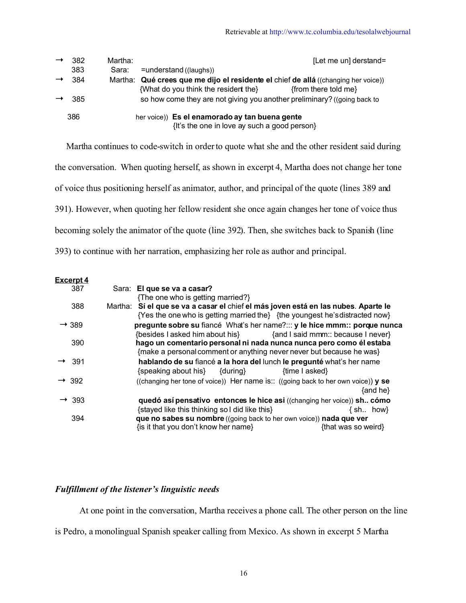| 382               | Martha: |                                                                                                | [Let me un] derstand= |
|-------------------|---------|------------------------------------------------------------------------------------------------|-----------------------|
| 383               | Sara:   | $=$ understand ((laughs))                                                                      |                       |
| $\rightarrow$ 384 |         | Martha: Qué crees que me dijo el residente el chief de allá ((changing her voice))             |                       |
|                   |         | {What do you think the resident the}                                                           | {from there told me}  |
| -385              |         | so how come they are not giving you another preliminary? ((going back to                       |                       |
| 386               |         | her voice)) Es el enamorado ay tan buena gente<br>{It's the one in love ay such a good person} |                       |

 Martha continues to code-switch in order to quote what she and the other resident said during the conversation. When quoting herself, as shown in excerpt 4, Martha does not change her tone of voice thus positioning herself as animator, author, and principal of the quote (lines 389 and 391). However, when quoting her fellow resident she once again changes her tone of voice thus becoming solely the animator of the quote (line 392). Then, she switches back to Spanish (line 393) to continue with her narration, emphasizing her role as author and principal.

| Excerpt 4         |                                                                                                                                                                   |
|-------------------|-------------------------------------------------------------------------------------------------------------------------------------------------------------------|
| 387               | Sara: El que se va a casar?                                                                                                                                       |
|                   | {The one who is getting married?}                                                                                                                                 |
| 388               | Martha: Sí el que se va a casar el chief el más joven está en las nubes. Aparte le<br>{Yes the one who is getting married the} {the youngest he's distracted now} |
| $\rightarrow$ 389 | pregunte sobre su fiancé What's her name? y le hice mmm: porque nunca<br>{besides I asked him about his} {and I said mmm:: because I never}                       |
| 390               | hago un comentario personal ni nada nunca nunca pero como él estaba<br>{make a personal comment or anything never never but because he was}                       |
| $\rightarrow$ 391 | hablando de su fiancé a la hora del lunch le pregunté what's her name<br>$\{speaking about his\}$ $\{ during\}$<br>{time I asked}                                 |
| $\rightarrow$ 392 | ((changing her tone of voice)) Her name is:: ((going back to her own voice)) y se<br>$\{$ and he $\}$                                                             |
| $\rightarrow$ 393 | quedó así pensativo entonces le hice asi ((changing her voice)) sh cómo<br>{stayed like this thinking so I did like this}<br>$\{ sh. \; how\}$                    |
| 394               | que no sabes su nombre ((going back to her own voice)) nada que ver<br>{is it that you don't know her name}<br>{that was so weird}                                |

## *Fulfillment of the listener's linguistic needs*

At one point in the conversation, Martha receives a phone call. The other person on the line

is Pedro, a monolingual Spanish speaker calling from Mexico. As shown in excerpt 5 Martha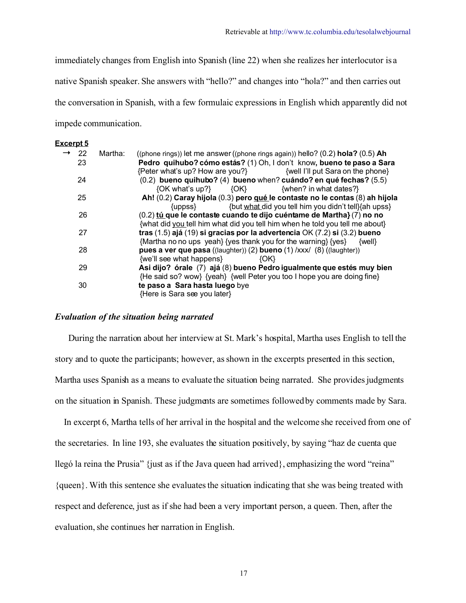immediately changes from English into Spanish (line 22) when she realizes her interlocutor is a native Spanish speaker. She answers with "hello?" and changes into "hola?" and then carries out the conversation in Spanish, with a few formulaic expressions in English which apparently did not impede communication.

#### **Excerpt 5**

| 22 | Martha: | ((phone rings)) let me answer ((phone rings again)) hello? $(0.2)$ hola? $(0.5)$ Ah |
|----|---------|-------------------------------------------------------------------------------------|
| 23 |         | Pedro quihubo? cómo estás? (1) Oh, I don't know, bueno te paso a Sara               |
|    |         | {Peter what's up? How are you?} {well I'll put Sara on the phone}                   |
| 24 |         | $(0.2)$ bueno quihubo? (4) bueno when? cuándo? en qué fechas? (5.5)                 |
|    |         | {OK what's up?} {OK} {when? in what dates?}                                         |
| 25 |         | Ah! (0.2) Caray hijola (0.3) pero qué le contaste no le contas (8) ah hijola        |
|    |         | {but what did you tell him you didn't tell}{ah upss}<br>{uppss}                     |
| 26 |         | (0.2) tú que le contaste cuando te dijo cuéntame de Martha} (7) no no               |
|    |         | {what did you tell him what did you tell him when he told you tell me about}        |
| 27 |         | tras (1.5) ajá (19) si gracias por la advertencia OK (7.2) si (3.2) bueno           |
|    |         | {Martha no no ups yeah} {yes thank you for the warning} {yes}<br>${well}$           |
| 28 |         | pues a ver que pasa ((laughter)) (2) bueno (1) $/xxx/$ (8) ((laughter))             |
|    |         | {we'll see what happens}<br>${O(K)}$                                                |
| 29 |         | Asi dijo? órale (7) ajá (8) bueno Pedro igualmente que estés muy bien               |
|    |         | {He said so? wow} {yeah} {well Peter you too I hope you are doing fine}             |
| 30 |         | te paso a Sara hasta luego bye                                                      |
|    |         | {Here is Sara see you later}                                                        |

#### *Evaluation of the situation being narrated*

 During the narration about her interview at St. Mark's hospital, Martha uses English to tell the story and to quote the participants; however, as shown in the excerpts presented in this section, Martha uses Spanish as a means to evaluate the situation being narrated. She provides judgments on the situation in Spanish. These judgments are sometimes followed by comments made by Sara.

 In excerpt 6, Martha tells of her arrival in the hospital and the welcome she received from one of the secretaries. In line 193, she evaluates the situation positively, by saying "haz de cuenta que llegó la reina the Prusia" {just as if the Java queen had arrived}, emphasizing the word "reina" {queen}. With this sentence she evaluates the situation indicating that she was being treated with respect and deference, just as if she had been a very important person, a queen. Then, after the evaluation, she continues her narration in English.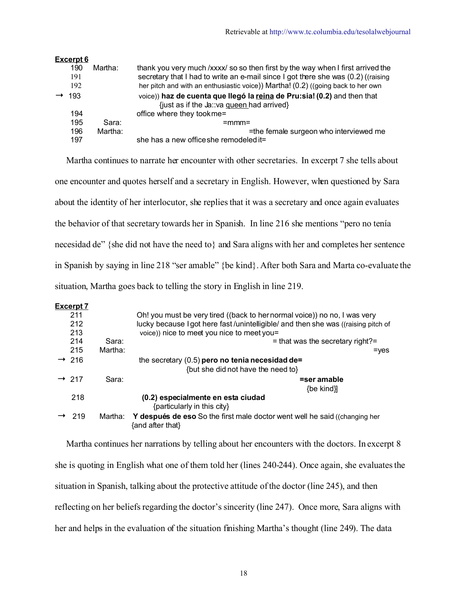| Excerpt 6 |         |                                                                                   |
|-----------|---------|-----------------------------------------------------------------------------------|
| 190       | Martha: | thank you very much /xxxx/ so so then first by the way when I first arrived the   |
| 191       |         | secretary that I had to write an e-mail since I got there she was (0.2) ((raising |
| 192       |         | her pitch and with an enthusiastic voice)) Martha! (0.2) ((going back to her own  |
| 193       |         | voice)) haz de cuenta que llegó la reina de Pru:sia! (0.2) and then that          |
|           |         | {just as if the Ja: va gueen had arrived}                                         |
| 194       |         | office where they tookme=                                                         |
| 195       | Sara:   | $=$ mmm $=$                                                                       |
| 196       | Martha: | =the female surgeon who interviewed me                                            |
| 197       |         | she has a new office she remodeled it=                                            |

 Martha continues to narrate her encounter with other secretaries. In excerpt 7 she tells about one encounter and quotes herself and a secretary in English. However, when questioned by Sara about the identity of her interlocutor, she replies that it was a secretary and once again evaluates the behavior of that secretary towards her in Spanish. In line 216 she mentions "pero no tenía necesidad de" {she did not have the need to} and Sara aligns with her and completes her sentence in Spanish by saying in line 218 "ser amable" {be kind}. After both Sara and Marta co-evaluate the situation, Martha goes back to telling the story in English in line 219.

#### **Excerpt 7**

| <u> — 2000 — 2000 — 2000 — 2000 — 2000 — 2000 — 2000 — 2000 — 2000 — 2000 — 2000 — 2000 — 2000 — 2000 — 2000 — 20</u> |         |                                                                                                       |
|-----------------------------------------------------------------------------------------------------------------------|---------|-------------------------------------------------------------------------------------------------------|
| 211                                                                                                                   |         | Oh! you must be very tired ((back to her normal voice)) no no, I was very                             |
| 212                                                                                                                   |         | lucky because I got here fast/unintelligible/ and then she was ((raising pitch of                     |
| 213                                                                                                                   |         | voice)) nice to meet you nice to meet you=                                                            |
| 214                                                                                                                   | Sara:   | $=$ that was the secretary right?=                                                                    |
| 215                                                                                                                   | Martha: | $=$ yes                                                                                               |
| $\rightarrow$ 216                                                                                                     |         | the secretary $(0.5)$ pero no tenia necesidad de=                                                     |
|                                                                                                                       |         | {but she did not have the need to}                                                                    |
| $\rightarrow$ 217                                                                                                     | Sara:   | =ser amable                                                                                           |
|                                                                                                                       |         | $\{be$ kind $\}$                                                                                      |
| 218                                                                                                                   |         | (0.2) especialmente en esta ciudad                                                                    |
|                                                                                                                       |         | {particularly in this city}                                                                           |
| 219                                                                                                                   | Martha: | <b>Y después de eso</b> So the first male doctor went well he said ((changing her<br>{and after that} |
|                                                                                                                       |         |                                                                                                       |

 Martha continues her narrations by telling about her encounters with the doctors. In excerpt 8 she is quoting in English what one of them told her (lines 240-244). Once again, she evaluates the situation in Spanish, talking about the protective attitude of the doctor (line 245), and then reflecting on her beliefs regarding the doctor's sincerity (line 247). Once more, Sara aligns with her and helps in the evaluation of the situation finishing Martha's thought (line 249). The data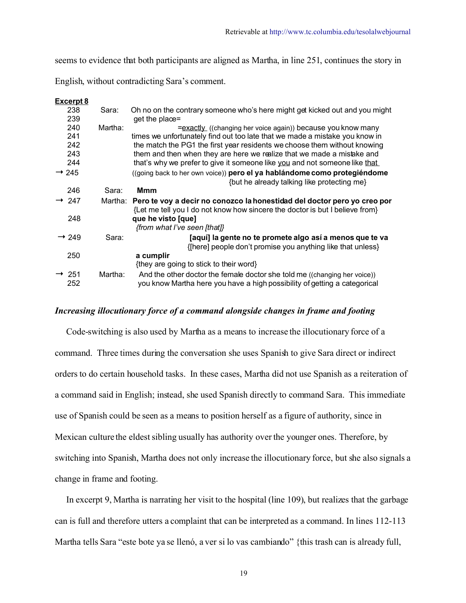seems to evidence that both participants are aligned as Martha, in line 251, continues the story in

English, without contradicting Sara's comment.

| Excerpt 8                |         |                                                                                                                                                                  |
|--------------------------|---------|------------------------------------------------------------------------------------------------------------------------------------------------------------------|
| 238                      | Sara:   | Oh no on the contrary someone who's here might get kicked out and you might                                                                                      |
| 239                      |         | get the place=                                                                                                                                                   |
| 240                      | Martha: | =exactly ((changing her voice again)) because you know many                                                                                                      |
| 241                      |         | times we unfortunately find out too late that we made a mistake you know in                                                                                      |
| 242                      |         | the match the PG1 the first year residents we choose them without knowing                                                                                        |
| 243                      |         | them and then when they are here we realize that we made a mistake and                                                                                           |
| 244                      |         | that's why we prefer to give it someone like you and not someone like that                                                                                       |
| $\rightarrow$ 245        |         | ((going back to her own voice)) pero el ya hablándome como protegiéndome                                                                                         |
|                          |         | {but he already talking like protecting me}                                                                                                                      |
| 246                      | Sara:   | Mmm                                                                                                                                                              |
| $\rightarrow$ 247        |         | Martha: Pero te voy a decir no conozco la honestidad del doctor pero yo creo por<br>{Let me tell you I do not know how sincere the doctor is but I believe from} |
| 248                      |         | que he visto [que]                                                                                                                                               |
|                          |         | {from what I've seen [that]}                                                                                                                                     |
| $\rightarrow$ 249        | Sara:   | [aquí] la gente no te promete algo así a menos que te va                                                                                                         |
|                          |         | {[here] people don't promise you anything like that unless}                                                                                                      |
| 250                      |         | a cumplir                                                                                                                                                        |
|                          |         | {they are going to stick to their word}                                                                                                                          |
| $\rightarrow$ 251<br>252 | Martha: | And the other doctor the female doctor she told me ((changing her voice))<br>you know Martha here you have a high possibility of getting a categorical           |

## *Increasing illocutionary force of a command alongside changes in frame and footing*

 Code-switching is also used by Martha as a means to increase the illocutionary force of a command. Three times during the conversation she uses Spanish to give Sara direct or indirect orders to do certain household tasks. In these cases, Martha did not use Spanish as a reiteration of a command said in English; instead, she used Spanish directly to command Sara. This immediate use of Spanish could be seen as a means to position herself as a figure of authority, since in Mexican culture the eldest sibling usually has authority over the younger ones. Therefore, by switching into Spanish, Martha does not only increase the illocutionary force, but she also signals a change in frame and footing.

 In excerpt 9, Martha is narrating her visit to the hospital (line 109), but realizes that the garbage can is full and therefore utters a complaint that can be interpreted as a command. In lines 112-113 Martha tells Sara "este bote ya se llenó, a ver si lo vas cambiando" {this trash can is already full,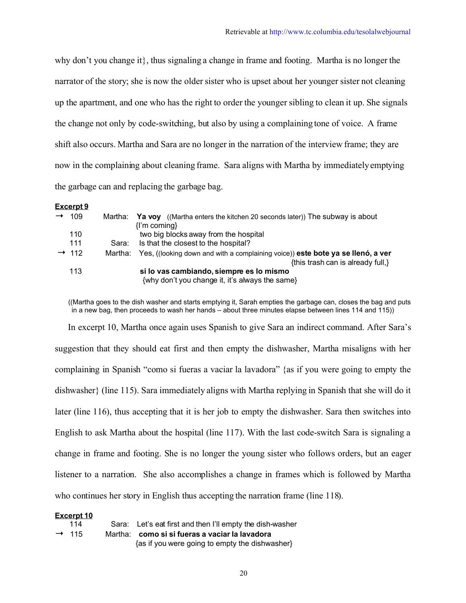why don't you change it}, thus signaling a change in frame and footing. Martha is no longer the narrator of the story; she is now the older sister who is upset about her younger sister not cleaning up the apartment, and one who has the right to order the younger sibling to clean it up. She signals the change not only by code-switching, but also by using a complaining tone of voice. A frame shift also occurs. Martha and Sara are no longer in the narration of the interview frame; they are now in the complaining about cleaning frame. Sara aligns with Martha by immediately emptying the garbage can and replacing the garbage bag.

#### **Excerpt 9**

| $\rightarrow$ | 109               | Martha: | Ya voy (Martha enters the kitchen 20 seconds later)) The subway is about               |
|---------------|-------------------|---------|----------------------------------------------------------------------------------------|
|               |                   |         | $\{l'm coming\}$                                                                       |
|               | 110               |         | two big blocks away from the hospital                                                  |
|               | 111               | Sara:   | Is that the closest to the hospital?                                                   |
|               | $\rightarrow$ 112 | Martha: | Yes, ((looking down and with a complaining voice)) <b>este bote ya se llenó, a ver</b> |
|               |                   |         | {this trash can is already full,}                                                      |
|               | 113               |         | si lo vas cambiando, siempre es lo mismo                                               |
|               |                   |         | {why don't you change it, it's always the same}                                        |

 ((Martha goes to the dish washer and starts emptying it, Sarah empties the garbage can, closes the bag and puts in a new bag, then proceeds to wash her hands – about three minutes elapse between lines 114 and 115))

In excerpt 10, Martha once again uses Spanish to give Sara an indirect command. After Sara's suggestion that they should eat first and then empty the dishwasher, Martha misaligns with her complaining in Spanish "como si fueras a vaciar la lavadora" {as if you were going to empty the dishwasher} (line 115). Sara immediately aligns with Martha replying in Spanish that she will do it later (line 116), thus accepting that it is her job to empty the dishwasher. Sara then switches into English to ask Martha about the hospital (line 117). With the last code-switch Sara is signaling a change in frame and footing. She is no longer the young sister who follows orders, but an eager listener to a narration. She also accomplishes a change in frames which is followed by Martha who continues her story in English thus accepting the narration frame (line 118).

#### **Excerpt 10**

| 114               | Sara: Let's eat first and then I'll empty the dish-washer |
|-------------------|-----------------------------------------------------------|
| $\rightarrow$ 115 | Martha: como si si fueras a vaciar la lavadora            |
|                   | {as if you were going to empty the dishwasher}            |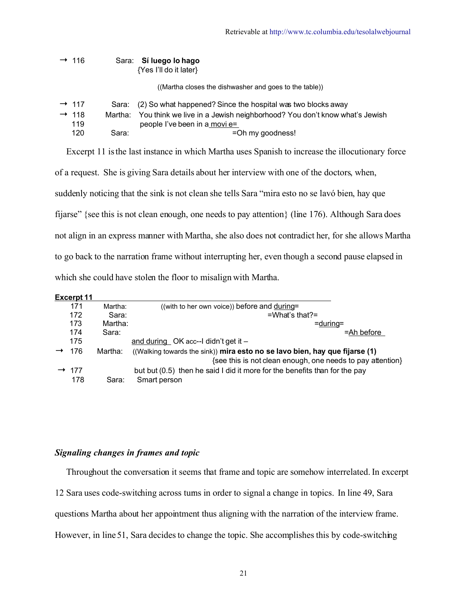| $\rightarrow$ 116        |         | Sara: Sí luego lo hago<br>{Yes I'll do it later}                                                          |
|--------------------------|---------|-----------------------------------------------------------------------------------------------------------|
|                          |         | ((Martha closes the dishwasher and goes to the table))                                                    |
| $\rightarrow$ 117        | Sara:   | (2) So what happened? Since the hospital was two blocks away                                              |
| $\rightarrow$ 118<br>119 | Martha: | You think we live in a Jewish neighborhood? You don't know what's Jewish<br>people I've been in a movi e= |
| 120                      | Sara:   | =Oh my goodness!                                                                                          |

Excerpt 11 is the last instance in which Martha uses Spanish to increase the illocutionary force

of a request. She is giving Sara details about her interview with one of the doctors, when,

suddenly noticing that the sink is not clean she tells Sara "mira esto no se lavó bien, hay que

fijarse" {see this is not clean enough, one needs to pay attention} (line 176). Although Sara does

not align in an express manner with Martha, she also does not contradict her, for she allows Martha

to go back to the narration frame without interrupting her, even though a second pause elapsed in

which she could have stolen the floor to misalign with Martha.

| ≺cerpt<br>= x |  |  |
|---------------|--|--|
|               |  |  |

| 171               | Martha: | ((with to her own voice)) before and during=                                |
|-------------------|---------|-----------------------------------------------------------------------------|
| 172               | Sara:   | $= What's that? =$                                                          |
| 173               | Martha: | $=$ during $=$                                                              |
| 174               | Sara:   | $=$ Ah before                                                               |
| 175               |         | and during $OK$ acc--I didn't get it $-$                                    |
| 176               | Martha: | ((Walking towards the sink)) mira esto no se lavo bien, hay que fijarse (1) |
|                   |         | {see this is not clean enough, one needs to pay attention}                  |
| $\rightarrow$ 177 |         | but but (0.5) then he said I did it more for the benefits than for the pay  |
| 178               | Sara:   | Smart person                                                                |

## *Signaling changes in frames and topic*

 Throughout the conversation it seems that frame and topic are somehow interrelated. In excerpt 12 Sara uses code-switching across turns in order to signal a change in topics. In line 49, Sara questions Martha about her appointment thus aligning with the narration of the interview frame. However, in line 51, Sara decides to change the topic. She accomplishes this by code-switching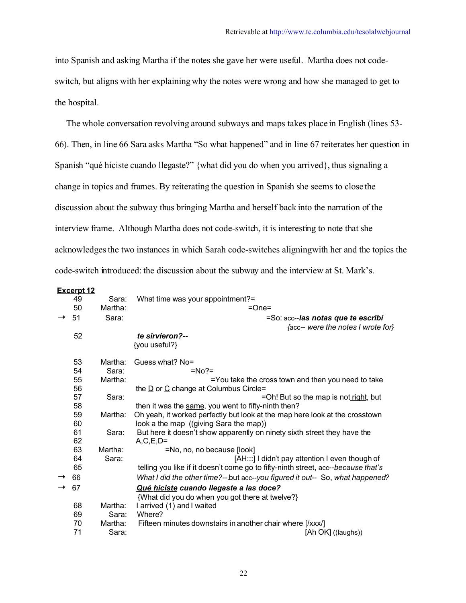into Spanish and asking Martha if the notes she gave her were useful. Martha does not codeswitch, but aligns with her explaining why the notes were wrong and how she managed to get to the hospital.

 The whole conversation revolving around subways and maps takes place in English (lines 53- 66). Then, in line 66 Sara asks Martha "So what happened" and in line 67 reiterates her question in Spanish "qué hiciste cuando llegaste?" {what did you do when you arrived}, thus signaling a change in topics and frames. By reiterating the question in Spanish she seems to close the discussion about the subway thus bringing Martha and herself back into the narration of the interview frame. Although Martha does not code-switch, it is interesting to note that she acknowledgesthe two instances in which Sarah code-switches aligningwith her and the topics the code-switch introduced: the discussion about the subway and the interview at St. Mark's.

#### Excerpt 12

|               | __________ |         |                                                                                   |
|---------------|------------|---------|-----------------------------------------------------------------------------------|
|               | 49         | Sara:   | What time was your appointment?=                                                  |
|               | 50         | Martha: | $=One=$                                                                           |
| $\rightarrow$ | 51         | Sara:   | =So: acc--las notas que te escribí                                                |
|               |            |         | facc-- were the notes I wrote for}                                                |
|               | 52         |         | te sirvieron?--                                                                   |
|               |            |         | {you useful?}                                                                     |
|               | 53         | Martha: | Guess what? No=                                                                   |
|               | 54         | Sara:   | $= No? =$                                                                         |
|               | 55         | Martha: | =You take the cross town and then you need to take                                |
|               | 56         |         | the $\underline{D}$ or $\underline{C}$ change at Columbus Circle=                 |
|               | 57         | Sara:   | =Oh! But so the map is not right, but                                             |
|               | 58         |         | then it was the same, you went to fifty-ninth then?                               |
|               | 59         | Martha: | Oh yeah, it worked perfectly but look at the map here look at the crosstown       |
|               | 60         |         | look a the map ((giving Sara the map))                                            |
|               | 61         | Sara:   | But here it doesn't show apparently on ninety sixth street they have the          |
|               | 62         |         | $A, C, E, D =$                                                                    |
|               | 63         | Martha: | =No, no, no because [look]                                                        |
|               | 64         | Sara:   | [AH:::] I didn't pay attention I even though of                                   |
|               | 65         |         | telling you like if it doesn't come go to fifty-ninth street, acc--because that's |
|               | 66         |         | What I did the other time?--but acc--you figured it out-- So, what happened?      |
|               | 67         |         | Qué hiciste cuando llegaste a las doce?                                           |
|               |            |         | {What did you do when you got there at twelve?}                                   |
|               | 68         | Martha: | I arrived (1) and I waited                                                        |
|               | 69         | Sara:   | Where?                                                                            |
|               | 70         | Martha: | Fifteen minutes downstairs in another chair where [/xxx/]                         |
|               | 71         | Sara:   | [Ah OK] ((laughs))                                                                |
|               |            |         |                                                                                   |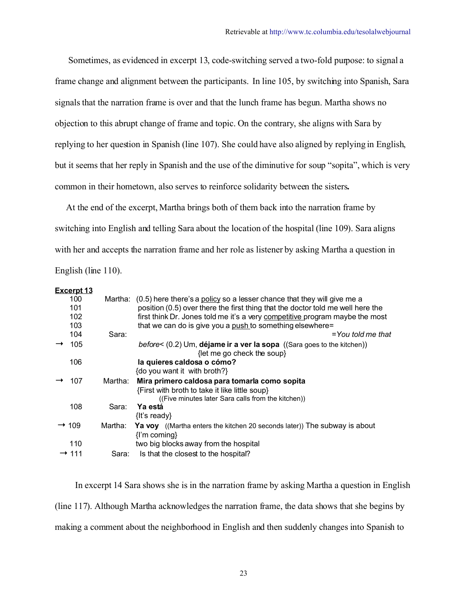Sometimes, as evidenced in excerpt 13, code-switching served a two-fold purpose: to signal a frame change and alignment between the participants. In line 105, by switching into Spanish, Sara signals that the narration frame is over and that the lunch frame has begun. Martha shows no objection to this abrupt change of frame and topic. On the contrary, she aligns with Sara by replying to her question in Spanish (line 107). She could have also aligned by replying in English, but it seems that her reply in Spanish and the use of the diminutive for soup "sopita", which is very common in their hometown, also serves to reinforce solidarity between the sisters**.** 

At the end of the excerpt, Martha brings both of them back into the narration frame by switching into English and telling Sara about the location of the hospital (line 109). Sara aligns with her and accepts the narration frame and her role as listener by asking Martha a question in English (line 110).

| Eligiisii (iliit 110).                        |                  |                                                                                                                                                                                                                                                                                                                                 |
|-----------------------------------------------|------------------|---------------------------------------------------------------------------------------------------------------------------------------------------------------------------------------------------------------------------------------------------------------------------------------------------------------------------------|
| Excerpt 13<br>100<br>101<br>102<br>103<br>104 | Martha:<br>Sara: | (0.5) here there's a policy so a lesser chance that they will give me a<br>position (0.5) over there the first thing that the doctor told me well here the<br>first think Dr. Jones told me it's a very competitive program maybe the most<br>that we can do is give you a push to something elsewhere=<br>$=$ You told me that |
| 105                                           |                  | <i>before</i> < $(0.2)$ Um, <b>déjame ir a ver la sopa</b> $((\text{Sara goes to the kitchen}))$<br>{let me go check the soup}                                                                                                                                                                                                  |
| 106                                           |                  | la quieres caldosa o cómo?<br>{do you want it with broth?}                                                                                                                                                                                                                                                                      |
| 107                                           | Martha:          | Mira primero caldosa para tomarla como sopita<br>{First with broth to take it like little soup}<br>((Five minutes later Sara calls from the kitchen))                                                                                                                                                                           |
| 108                                           | Sara:            | Ya está<br>$\{$ f's ready $\}$                                                                                                                                                                                                                                                                                                  |
| $\rightarrow$ 109                             | Martha:          | <b>Ya voy</b> ((Martha enters the kitchen 20 seconds later)) The subway is about<br>$\{I'm coming\}$                                                                                                                                                                                                                            |
| 110                                           |                  | two big blocks away from the hospital                                                                                                                                                                                                                                                                                           |
| $\rightarrow$ 111                             | Sara:            | Is that the closest to the hospital?                                                                                                                                                                                                                                                                                            |

 In excerpt 14 Sara shows she is in the narration frame by asking Martha a question in English (line 117). Although Martha acknowledges the narration frame, the data shows that she begins by making a comment about the neighborhood in English and then suddenly changes into Spanish to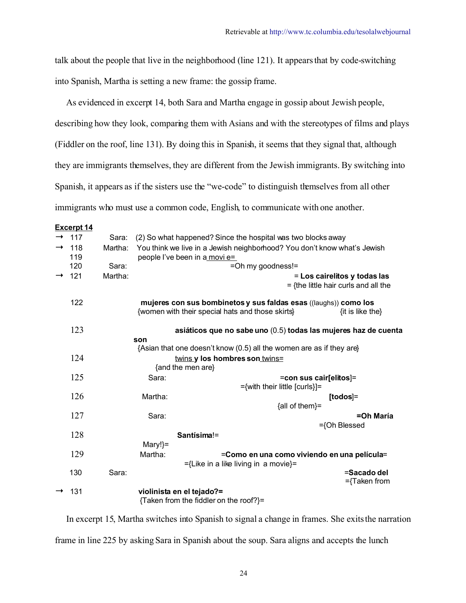talk about the people that live in the neighborhood (line 121). It appears that by code-switching into Spanish, Martha is setting a new frame: the gossip frame.

As evidenced in excerpt 14, both Sara and Martha engage in gossip about Jewish people,

describing how they look, comparing them with Asians and with the stereotypes of films and plays

(Fiddler on the roof, line 131). By doing this in Spanish, it seems that they signal that, although

they are immigrants themselves, they are different from the Jewish immigrants. By switching into

Spanish, it appears as if the sisters use the "we-code" to distinguish themselves from all other

immigrants who must use a common code, English, to communicate with one another.

|               | <b>Excerpt 14</b> |         |           |                                                                                                                      |                                                                        |
|---------------|-------------------|---------|-----------|----------------------------------------------------------------------------------------------------------------------|------------------------------------------------------------------------|
|               | 117               | Sara:   |           | (2) So what happened? Since the hospital was two blocks away                                                         |                                                                        |
| $\rightarrow$ | 118<br>119        | Martha: |           | You think we live in a Jewish neighborhood? You don't know what's Jewish<br>people l've been in a movi e=            |                                                                        |
|               | 120               | Sara:   |           | =Oh my goodness!=                                                                                                    |                                                                        |
|               | $\rightarrow$ 121 | Martha: |           |                                                                                                                      | = Los cairelitos y todas las<br>$=$ {the little hair curls and all the |
|               | 122               |         |           | mujeres con sus bombinetos y sus faldas esas ((laughs)) como los<br>{women with their special hats and those skirts} | $\{$ it is like the $\}$                                               |
|               | 123               |         | son       | asiáticos que no sabe uno (0.5) todas las mujeres haz de cuenta                                                      |                                                                        |
|               |                   |         |           | {Asian that one doesn't know (0.5) all the women are as if they are}                                                 |                                                                        |
|               | 124               |         |           | twins y los hombres son twins=                                                                                       |                                                                        |
|               |                   |         |           | {and the men are}                                                                                                    |                                                                        |
|               | 125               |         | Sara:     | =con sus cair[elitos]=                                                                                               |                                                                        |
|               |                   |         |           | ={with their little [curls}]=                                                                                        |                                                                        |
|               | 126               |         | Martha:   |                                                                                                                      | $[todos] =$                                                            |
|               |                   |         |           | {all of them}=                                                                                                       |                                                                        |
|               | 127               |         | Sara:     |                                                                                                                      | =Oh María                                                              |
|               |                   |         |           |                                                                                                                      | $=\{Oh \, Blessed \}$                                                  |
|               | 128               |         |           | Santísima!=                                                                                                          |                                                                        |
|               |                   |         | $Mary! =$ |                                                                                                                      |                                                                        |
|               | 129               |         | Martha:   | =Como en una como viviendo en una película=                                                                          |                                                                        |
|               |                   |         |           | $=\{$ Like in a like living in a movie $\}=$                                                                         |                                                                        |
|               | 130               | Sara:   |           |                                                                                                                      | =Sacado del                                                            |
|               |                   |         |           |                                                                                                                      | ={Taken from                                                           |
|               | 131               |         |           | violinista en el tejado?=                                                                                            |                                                                        |
|               |                   |         |           | {Taken from the fiddler on the roof?}=                                                                               |                                                                        |

 In excerpt 15, Martha switches into Spanish to signal a change in frames. She exits the narration frame in line 225 by asking Sara in Spanish about the soup. Sara aligns and accepts the lunch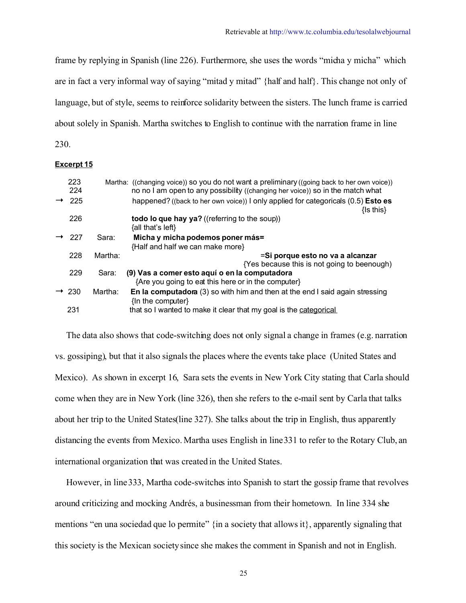frame by replying in Spanish (line 226). Furthermore, she uses the words "micha y micha" which are in fact a very informal way of saying "mitad y mitad" {half and half}. This change not only of language, but of style, seems to reinforce solidarity between the sisters. The lunch frame is carried about solely in Spanish. Martha switches to English to continue with the narration frame in line

230.

#### **Excerpt 15**

| 223<br>224        |         | Martha: ((changing voice)) so you do not want a preliminary ((going back to her own voice))<br>no no I am open to any possibility ((changing her voice)) so in the match what |
|-------------------|---------|-------------------------------------------------------------------------------------------------------------------------------------------------------------------------------|
| 225               |         | happened? ((back to her own voice)) I only applied for categoricals (0.5) <b>Esto es</b><br>$\{$ Is this $\}$                                                                 |
| 226               |         | todo lo que hay ya? ((referring to the soup))<br>{all that's left}                                                                                                            |
| 227               | Sara:   | Micha y micha podemos poner más=                                                                                                                                              |
|                   |         | {Half and half we can make more}                                                                                                                                              |
| 228               | Martha: | =Si porque esto no va a alcanzar                                                                                                                                              |
|                   |         | {Yes because this is not going to beenough}                                                                                                                                   |
| 229               | Sara:   | (9) Vas a comer esto aquí o en la computadora                                                                                                                                 |
|                   |         | {Are you going to eat this here or in the computer}                                                                                                                           |
| $\rightarrow$ 230 | Martha: | <b>En la computadora</b> (3) so with him and then at the end I said again stressing<br>{In the computer}                                                                      |
| 231               |         | that so I wanted to make it clear that my goal is the categorical                                                                                                             |

 The data also shows that code-switching does not only signal a change in frames (e.g. narration vs. gossiping), but that it also signals the places where the events take place (United States and Mexico). As shown in excerpt 16, Sara sets the events in New York City stating that Carla should come when they are in New York (line 326), then she refers to the e-mail sent by Carla that talks about her trip to the United States(line 327). She talks about the trip in English, thus apparently distancing the events from Mexico. Martha uses English in line 331 to refer to the Rotary Club, an international organization that was created in the United States.

 However, in line 333, Martha code-switches into Spanish to start the gossip frame that revolves around criticizing and mocking Andrés, a businessman from their hometown. In line 334 she mentions "en una sociedad que lo permite" {in a society that allows it}, apparently signaling that this society is the Mexican society since she makes the comment in Spanish and not in English.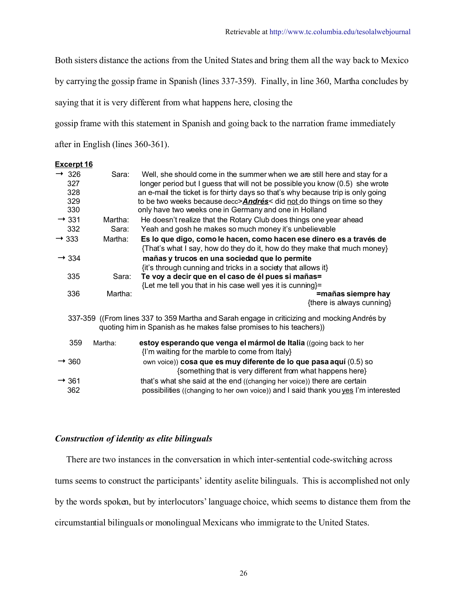Both sisters distance the actions from the United States and bring them all the way back to Mexico

by carrying the gossip frame in Spanish (lines 337-359). Finally, in line 360, Martha concludes by

saying that it is very different from what happens here, closing the

gossip frame with this statement in Spanish and going back to the narration frame immediately

after in English (lines 360-361).

| <u>Excerpt 16</u>                             |         |                                                                                                                                                                                                                                                                                                                                                                                           |
|-----------------------------------------------|---------|-------------------------------------------------------------------------------------------------------------------------------------------------------------------------------------------------------------------------------------------------------------------------------------------------------------------------------------------------------------------------------------------|
| $\rightarrow$ 326<br>327<br>328<br>329<br>330 | Sara:   | Well, she should come in the summer when we are still here and stay for a<br>longer period but I guess that will not be possible you know (0.5) she wrote<br>an e-mail the ticket is for thirty days so that's why because trip is only going<br>to be two weeks because decc> <b>Andrés</b> < did not do things on time so they<br>only have two weeks one in Germany and one in Holland |
| $\rightarrow$ 331                             | Martha: | He doesn't realize that the Rotary Club does things one year ahead                                                                                                                                                                                                                                                                                                                        |
| 332                                           | Sara:   | Yeah and gosh he makes so much money it's unbelievable                                                                                                                                                                                                                                                                                                                                    |
| $\rightarrow$ 333                             | Martha: | Es lo que digo, como le hacen, como hacen ese dinero es a través de<br>{That's what I say, how do they do it, how do they make that much money}                                                                                                                                                                                                                                           |
| $\rightarrow$ 334                             |         | mañas y trucos en una sociedad que lo permite<br>{it's through cunning and tricks in a society that allows it}                                                                                                                                                                                                                                                                            |
| 335                                           | Sara:   | Te voy a decir que en el caso de él pues si mañas=<br>{Let me tell you that in his case well yes it is cunning}=                                                                                                                                                                                                                                                                          |
| 336                                           | Martha: | =mañas siempre hay<br>{there is always cunning}                                                                                                                                                                                                                                                                                                                                           |
|                                               |         | 337-359 ((From lines 337 to 359 Martha and Sarah engage in criticizing and mocking Andrés by<br>quoting him in Spanish as he makes false promises to his teachers)                                                                                                                                                                                                                        |
| 359                                           | Martha: | estoy esperando que venga el mármol de Italia ((going back to her<br>{I'm waiting for the marble to come from Italy}                                                                                                                                                                                                                                                                      |
| $\rightarrow$ 360                             |         | own voice)) cosa que es muy diferente de lo que pasa aquí (0.5) so<br>{something that is very different from what happens here}                                                                                                                                                                                                                                                           |
| $\rightarrow$ 361<br>362                      |         | that's what she said at the end ((changing her voice)) there are certain<br>possibilities ((changing to her own voice)) and I said thank you yes I'm interested                                                                                                                                                                                                                           |

## *Construction of identity as elite bilinguals*

 There are two instances in the conversation in which inter-sentential code-switching across turns seems to construct the participants' identity as elite bilinguals. This is accomplished not only by the words spoken, but by interlocutors' language choice, which seems to distance them from the circumstantial bilinguals or monolingual Mexicans who immigrate to the United States.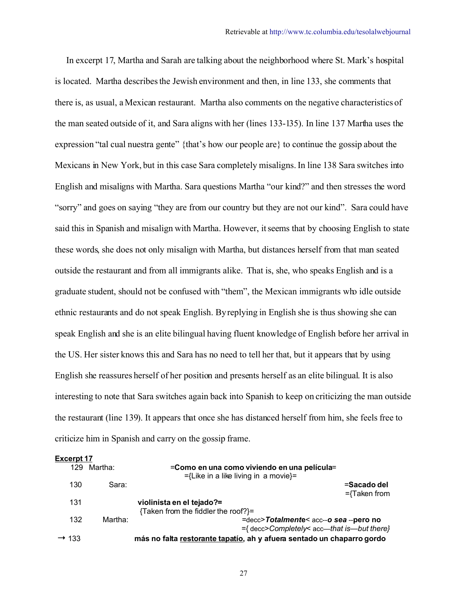In excerpt 17, Martha and Sarah are talking about the neighborhood where St. Mark's hospital is located. Martha describes the Jewish environment and then, in line 133, she comments that there is, as usual, a Mexican restaurant. Martha also comments on the negative characteristics of the man seated outside of it, and Sara aligns with her (lines 133-135). In line 137 Martha uses the expression "tal cual nuestra gente" {that's how our people are} to continue the gossip about the Mexicans in New York, but in this case Sara completely misaligns. In line 138 Sara switches into English and misaligns with Martha. Sara questions Martha "our kind?" and then stresses the word "sorry" and goes on saying "they are from our country but they are not our kind". Sara could have said this in Spanish and misalign with Martha. However, it seems that by choosing English to state these words, she does not only misalign with Martha, but distances herself from that man seated outside the restaurant and from all immigrants alike. That is, she, who speaks English and is a graduate student, should not be confused with "them", the Mexican immigrants who idle outside ethnic restaurants and do not speak English. By replying in English she is thus showing she can speak English and she is an elite bilingual having fluent knowledge of English before her arrival in the US. Her sister knows this and Sara has no need to tell her that, but it appears that by using English she reassures herself of her position and presents herself as an elite bilingual. It is also interesting to note that Sara switches again back into Spanish to keep on criticizing the man outside the restaurant (line 139). It appears that once she has distanced herself from him, she feels free to criticize him in Spanish and carry on the gossip frame.

|                   | <b>Excerpt 17</b> |                                                                                             |                                |  |  |  |  |
|-------------------|-------------------|---------------------------------------------------------------------------------------------|--------------------------------|--|--|--|--|
| 129               | Martha:           | =Como en una como viviendo en una película=<br>$=\{$ Like in a like living in a movie $\}=$ |                                |  |  |  |  |
| 130               | Sara:             |                                                                                             | =Sacado del<br>$=\{Taken from$ |  |  |  |  |
| 131               |                   | violinista en el tejado?=                                                                   |                                |  |  |  |  |
|                   |                   | {Taken from the fiddler the roof?}=                                                         |                                |  |  |  |  |
| 132               | Martha:           | =decc>Totalmente< acc--o sea --pero no                                                      |                                |  |  |  |  |
|                   |                   | $=\{$ decc>Completely< acc—that is—but there}                                               |                                |  |  |  |  |
| $\rightarrow$ 133 |                   | más no falta restorante tapatío, ah y afuera sentado un chaparro gordo                      |                                |  |  |  |  |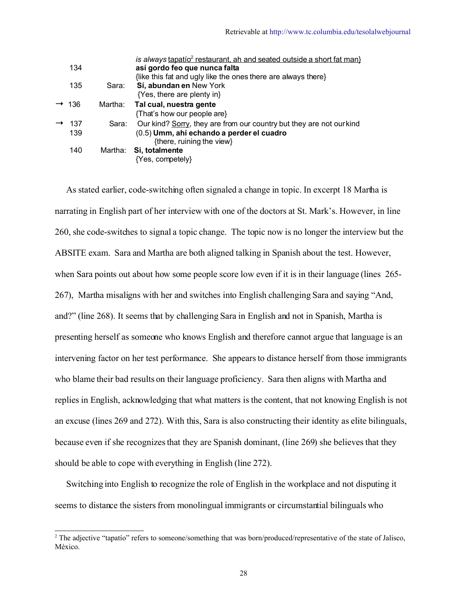|                   |         | is always tapatio <sup>2</sup> restaurant, ah and seated outside a short fat man} |
|-------------------|---------|-----------------------------------------------------------------------------------|
| 134               |         | así gordo feo que nunca falta                                                     |
|                   |         | {like this fat and ugly like the ones there are always there}                     |
| 135               | Sara:   | Sí, abundan en New York                                                           |
|                   |         | {Yes, there are plenty in}                                                        |
| $\rightarrow$ 136 | Martha: | Tal cual, nuestra gente                                                           |
|                   |         | {That's how our people are}                                                       |
| -137              | Sara:   | Our kind? Sorry, they are from our country but they are not our kind              |
| 139               |         | (0.5) Umm, ahí echando a perder el cuadro                                         |
|                   |         | {there, ruining the view}                                                         |
| 140               | Martha: | Si, totalmente                                                                    |
|                   |         | {Yes, competely}                                                                  |
|                   |         |                                                                                   |

 As stated earlier, code-switching often signaled a change in topic. In excerpt 18 Martha is narrating in English part of her interview with one of the doctors at St. Mark's. However, in line 260, she code-switches to signal a topic change. The topic now is no longer the interview but the ABSITE exam. Sara and Martha are both aligned talking in Spanish about the test. However, when Sara points out about how some people score low even if it is in their language (lines 265- 267), Martha misaligns with her and switches into English challenging Sara and saying "And, and?" (line 268). It seems that by challenging Sara in English and not in Spanish, Martha is presenting herself as someone who knows English and therefore cannot argue that language is an intervening factor on her test performance. She appears to distance herself from those immigrants who blame their bad results on their language proficiency. Sara then aligns with Martha and replies in English, acknowledging that what matters is the content, that not knowing English is not an excuse (lines 269 and 272). With this, Sara is also constructing their identity as elite bilinguals, because even if she recognizes that they are Spanish dominant, (line 269) she believes that they should be able to cope with everything in English (line 272).

 Switching into English to recognize the role of English in the workplace and not disputing it seems to distance the sisters from monolingual immigrants or circumstantial bilinguals who

<span id="page-27-0"></span><sup>&</sup>lt;sup>2</sup> The adjective "tapatío" refers to someone/something that was born/produced/representative of the state of Jalisco, México.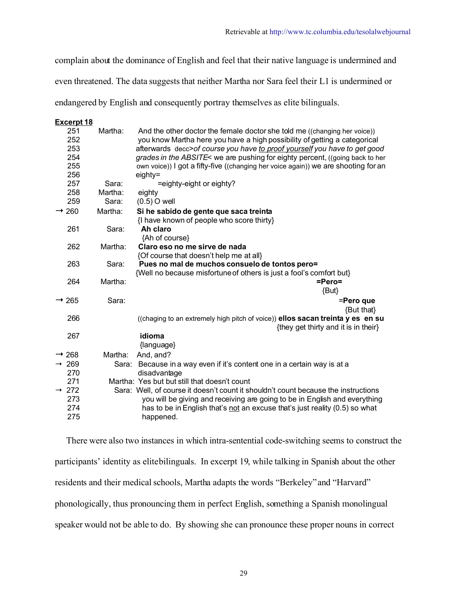complain about the dominance of English and feel that their native language is undermined and

even threatened. The data suggests that neither Martha nor Sara feel their L1 is undermined or

endangered by English and consequently portray themselves as elite bilinguals.

#### **Excerpt 18**

| 251<br>252<br>253<br>254<br>255<br>256 | Martha: | And the other doctor the female doctor she told me ((changing her voice))<br>you know Martha here you have a high possibility of getting a categorical<br>afterwards decc>of course you have to proof yourself you have to get good<br>grades in the ABSITE< we are pushing for eighty percent, ((going back to her<br>own voice)) I got a fifty-five ((changing her voice again)) we are shooting for an<br>eighty= |
|----------------------------------------|---------|----------------------------------------------------------------------------------------------------------------------------------------------------------------------------------------------------------------------------------------------------------------------------------------------------------------------------------------------------------------------------------------------------------------------|
| 257                                    | Sara:   | =eighty-eight or eighty?                                                                                                                                                                                                                                                                                                                                                                                             |
| 258                                    | Martha: | eighty                                                                                                                                                                                                                                                                                                                                                                                                               |
| 259                                    | Sara:   | $(0.5)$ O well                                                                                                                                                                                                                                                                                                                                                                                                       |
| $\rightarrow$ 260                      | Martha: | Si he sabido de gente que saca treinta                                                                                                                                                                                                                                                                                                                                                                               |
|                                        |         | {I have known of people who score thirty}                                                                                                                                                                                                                                                                                                                                                                            |
| 261                                    | Sara:   | Ah claro                                                                                                                                                                                                                                                                                                                                                                                                             |
|                                        |         | {Ah of course}                                                                                                                                                                                                                                                                                                                                                                                                       |
| 262                                    | Martha: | Claro eso no me sirve de nada                                                                                                                                                                                                                                                                                                                                                                                        |
|                                        |         | {Of course that doesn't help me at all}                                                                                                                                                                                                                                                                                                                                                                              |
| 263                                    | Sara:   | Pues no mal de muchos consuelo de tontos pero=                                                                                                                                                                                                                                                                                                                                                                       |
| 264                                    | Martha: | {Well no because misfortune of others is just a fool's comfort but}<br>$=Pero=$<br>{But}                                                                                                                                                                                                                                                                                                                             |
|                                        |         |                                                                                                                                                                                                                                                                                                                                                                                                                      |
| $\rightarrow$ 265                      | Sara:   | =Pero que<br>{But that}                                                                                                                                                                                                                                                                                                                                                                                              |
| 266                                    |         | ((chaging to an extremely high pitch of voice)) ellos sacan treinta y es en su<br>{they get thirty and it is in their}                                                                                                                                                                                                                                                                                               |
| 267                                    |         | idioma                                                                                                                                                                                                                                                                                                                                                                                                               |
|                                        |         | {language}                                                                                                                                                                                                                                                                                                                                                                                                           |
| $\rightarrow$ 268                      | Martha: | And, and?                                                                                                                                                                                                                                                                                                                                                                                                            |
| $\rightarrow 269$                      |         | Sara: Because in a way even if it's content one in a certain way is at a                                                                                                                                                                                                                                                                                                                                             |
| 270                                    |         | disadvantage                                                                                                                                                                                                                                                                                                                                                                                                         |
| 271                                    |         | Martha: Yes but but still that doesn't count                                                                                                                                                                                                                                                                                                                                                                         |
| $\rightarrow$ 272                      |         | Sara: Well, of course it doesn't count it shouldn't count because the instructions                                                                                                                                                                                                                                                                                                                                   |
| 273                                    |         | you will be giving and receiving are going to be in English and everything                                                                                                                                                                                                                                                                                                                                           |
| 274<br>275                             |         | has to be in English that's not an excuse that's just reality (0.5) so what<br>happened.                                                                                                                                                                                                                                                                                                                             |

 There were also two instances in which intra-sentential code-switching seems to construct the participants' identity as elitebilinguals. In excerpt 19, while talking in Spanish about the other residents and their medical schools, Martha adapts the words "Berkeley" and "Harvard" phonologically, thus pronouncing them in perfect English, something a Spanish monolingual speaker would not be able to do. By showing she can pronounce these proper nouns in correct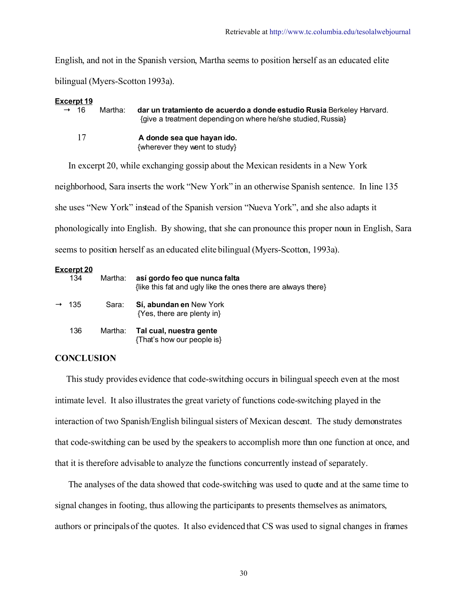English, and not in the Spanish version, Martha seems to position herself as an educated elite bilingual (Myers-Scotton 1993a).

| Excerpt 19       |         |                                                                                                                                       |
|------------------|---------|---------------------------------------------------------------------------------------------------------------------------------------|
| $\rightarrow$ 16 | Martha: | dar un tratamiento de acuerdo a donde estudio Rusia Berkeley Harvard.<br>{give a treatment depending on where he/she studied, Russia} |
| 17               |         | A donde sea que hayan ido.<br>{wherever they went to study}                                                                           |

 In excerpt 20, while exchanging gossip about the Mexican residents in a New York neighborhood, Sara inserts the work "New York" in an otherwise Spanish sentence. In line 135 she uses "New York" instead of the Spanish version "Nueva York", and she also adapts it phonologically into English. By showing, that she can pronounce this proper noun in English, Sara seems to position herself as an educated elite bilingual (Myers-Scotton, 1993a).

| Excerpt 20<br>134 | Martha: | así gordo feo que nunca falta<br>{like this fat and ugly like the ones there are always there} |
|-------------------|---------|------------------------------------------------------------------------------------------------|
| $\rightarrow$ 135 | Sara:   | Sí, abundan en New York<br>{Yes, there are plenty in}                                          |
| 136               | Martha: | Tal cual, nuestra gente<br>{That's how our people is}                                          |

## **CONCLUSION**

 This study provides evidence that code-switching occurs in bilingual speech even at the most intimate level. It also illustrates the great variety of functions code-switching played in the interaction of two Spanish/English bilingual sisters of Mexican descent. The study demonstrates that code-switching can be used by the speakers to accomplish more than one function at once, and that it is therefore advisable to analyze the functions concurrently instead of separately.

 The analyses of the data showed that code-switching was used to quote and at the same time to signal changes in footing, thus allowing the participants to presents themselves as animators, authors or principals of the quotes. It also evidenced that CS was used to signal changes in frames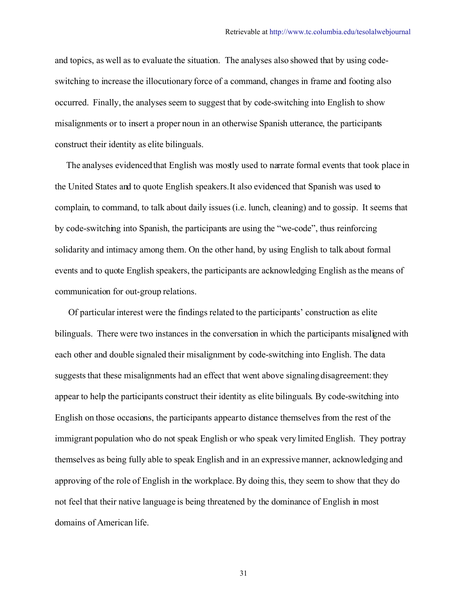and topics, as well as to evaluate the situation. The analyses also showed that by using codeswitching to increase the illocutionary force of a command, changes in frame and footing also occurred. Finally, the analyses seem to suggest that by code-switching into English to show misalignments or to insert a proper noun in an otherwise Spanish utterance, the participants construct their identity as elite bilinguals.

 The analyses evidenced that English was mostly used to narrate formal events that took place in the United States and to quote English speakers. It also evidenced that Spanish was used to complain, to command, to talk about daily issues (i.e. lunch, cleaning) and to gossip. It seems that by code-switching into Spanish, the participants are using the "we-code", thus reinforcing solidarity and intimacy among them. On the other hand, by using English to talk about formal events and to quote English speakers, the participants are acknowledging English as the means of communication for out-group relations.

 Of particular interest were the findings related to the participants' construction as elite bilinguals. There were two instances in the conversation in which the participants misaligned with each other and double signaled their misalignment by code-switching into English. The data suggests that these misalignments had an effect that went above signalingdisagreement: they appear to help the participants construct their identity as elite bilinguals. By code-switching into English on those occasions, the participants appear to distance themselves from the rest of the immigrant population who do not speak English or who speak very limited English. They portray themselves as being fully able to speak English and in an expressive manner, acknowledging and approving of the role of English in the workplace. By doing this, they seem to show that they do not feel that their native language is being threatened by the dominance of English in most domains of American life.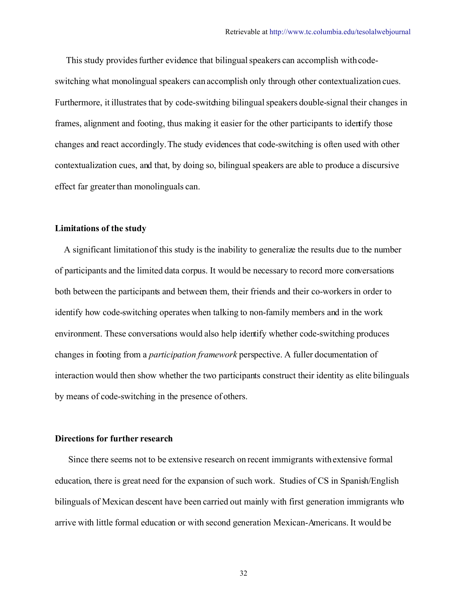This study provides further evidence that bilingual speakers can accomplish withcodeswitching what monolingual speakers can accomplish only through other contextualization cues. Furthermore, it illustrates that by code-switching bilingual speakers double-signal their changes in frames, alignment and footing, thus making it easier for the other participants to identify those changes and react accordingly. The study evidences that code-switching is often used with other contextualization cues, and that, by doing so, bilingual speakers are able to produce a discursive effect far greater than monolinguals can.

#### **Limitations of the study**

 A significant limitation of this study is the inability to generalize the results due to the number of participants and the limited data corpus. It would be necessary to record more conversations both between the participants and between them, their friends and their co-workers in order to identify how code-switching operates when talking to non-family members and in the work environment. These conversations would also help identify whether code-switching produces changes in footing from a *participation framework* perspective. A fuller documentation of interaction would then show whether the two participants construct their identity as elite bilinguals by means of code-switching in the presence of others.

## **Directions for further research**

 Since there seems not to be extensive research on recent immigrants withextensive formal education, there is great need for the expansion of such work. Studies of CS in Spanish/English bilinguals of Mexican descent have been carried out mainly with first generation immigrants who arrive with little formal education or with second generation Mexican-Americans. It would be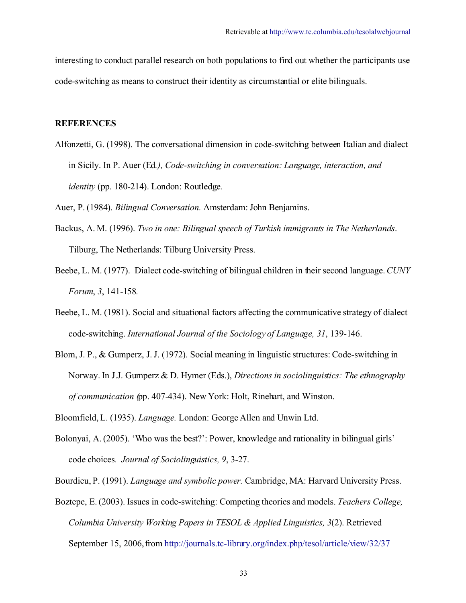interesting to conduct parallel research on both populations to find out whether the participants use code-switching as means to construct their identity as circumstantial or elite bilinguals.

#### **REFERENCES**

Alfonzetti, G. (1998). The conversational dimension in code-switching between Italian and dialect in Sicily. In P. Auer (Ed*.), Code-switching in conversation: Language, interaction, and identity* (pp. 180-214). London: Routledge*.*

Auer, P. (1984). *Bilingual Conversation.* Amsterdam: John Benjamins.

- Backus, A. M. (1996). *Two in one: Bilingual speech of Turkish immigrants in The Netherlands*. Tilburg, The Netherlands: Tilburg University Press.
- Beebe, L. M. (1977). Dialect code-switching of bilingual children in their second language.*CUNY Forum*, *3*, 141-158*.*
- Beebe, L. M. (1981). Social and situational factors affecting the communicative strategy of dialect code-switching. *International Journal of the Sociology of Language, 31*, 139-146.
- Blom, J. P., & Gumperz, J.J. (1972). Social meaning in linguistic structures: Code-switching in Norway. In J.J. Gumperz & D. Hymer (Eds.), *Directions in sociolinguistics: The ethnography of communication (*pp. 407-434). New York: Holt, Rinehart, and Winston.

Bloomfield, L. (1935). *Language.* London: George Allen and Unwin Ltd.

Bolonyai, A. (2005). 'Who was the best?': Power, knowledge and rationality in bilingual girls' code choices*. Journal of Sociolinguistics, 9*, 3-27.

Bourdieu, P. (1991). *Language and symbolic power.* Cambridge, MA: Harvard University Press.

Boztepe, E. (2003). Issues in code-switching: Competing theories and models. *Teachers College, Columbia University Working Papers in TESOL & Applied Linguistics, 3*(2). Retrieved September 15, 2006, from<http://journals.tc-library.org/index.php/tesol/article/view/32/37>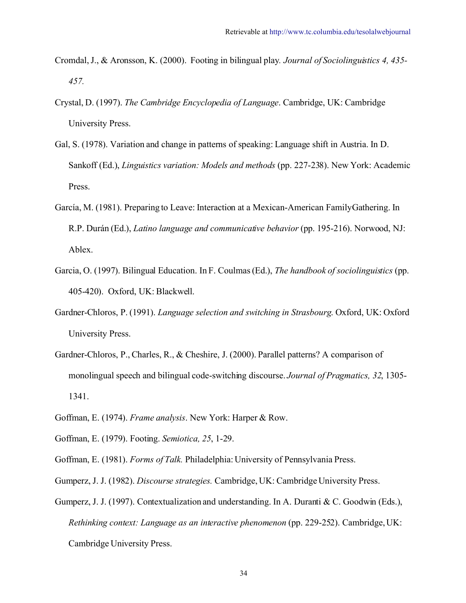- Cromdal, J., & Aronsson, K. (2000). Footing in bilingual play*. Journal of Sociolinguistics 4, 435- 457.*
- Crystal, D. (1997). *The Cambridge Encyclopedia of Language*. Cambridge, UK: Cambridge University Press.
- Gal, S. (1978). Variation and change in patterns of speaking: Language shift in Austria. In D. Sankoff (Ed.), *Linguistics variation: Models and methods* (pp. 227-238). New York: Academic Press.
- García, M. (1981). Preparing to Leave: Interaction at a Mexican-American FamilyGathering. In R.P. Durán (Ed.), *Latino language and communicative behavior* (pp. 195-216). Norwood, NJ: Ablex.
- Garcia, O. (1997). Bilingual Education. In F. Coulmas (Ed.), *The handbook of sociolinguistics* (pp. 405-420). Oxford, UK: Blackwell.
- Gardner-Chloros, P. (1991). *Language selection and switching in Strasbourg*. Oxford, UK: Oxford University Press.
- Gardner-Chloros, P., Charles, R., & Cheshire, J. (2000). Parallel patterns? A comparison of monolingual speech and bilingual code-switching discourse. *Journal of Pragmatics, 32*, 1305- 1341.
- Goffman, E. (1974). *Frame analysis*. New York: Harper & Row.
- Goffman, E. (1979). Footing. *Semiotica, 25*, 1-29.
- Goffman, E. (1981). *Forms of Talk.* Philadelphia: University of Pennsylvania Press.
- Gumperz, J. J. (1982). *Discourse strategies.* Cambridge, UK: Cambridge University Press.
- Gumperz, J. J. (1997). Contextualization and understanding. In A. Duranti & C. Goodwin (Eds.), *Rethinking context: Language as an interactive phenomenon* (pp. 229-252). Cambridge,UK: Cambridge University Press.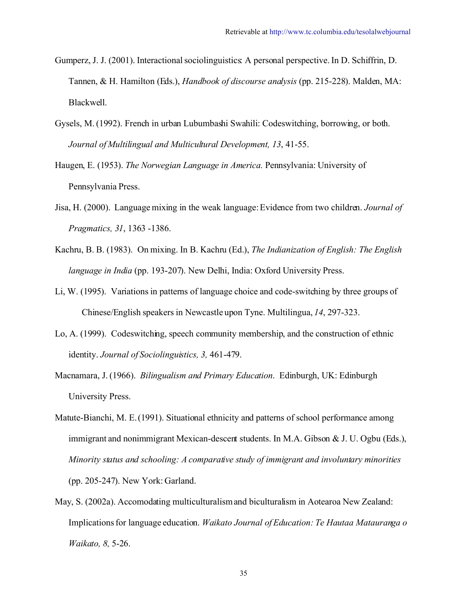- Gumperz, J. J. (2001). Interactional sociolinguistics: A personal perspective. In D. Schiffrin, D. Tannen, & H. Hamilton (Eds.), *Handbook of discourse analysis* (pp. 215-228). Malden, MA: Blackwell.
- Gysels, M. (1992). French in urban Lubumbashi Swahili: Codeswitching, borrowing, or both. *Journal of Multilingual and Multicultural Development, 13*, 41-55.
- Haugen, E. (1953). *The Norwegian Language in America.* Pennsylvania: University of Pennsylvania Press.
- Jisa, H. (2000). Language mixing in the weak language: Evidence from two children. *Journal of Pragmatics, 31*, 1363 -1386.
- Kachru, B. B. (1983). On mixing. In B. Kachru (Ed.), *The Indianization of English: The English language in India* (pp. 193-207). New Delhi, India: Oxford University Press.
- Li, W. (1995). Variations in patterns of language choice and code-switching by three groups of Chinese/English speakers in Newcastle upon Tyne. Multilingua, *14*, 297-323.
- Lo, A. (1999). Codeswitching, speech community membership, and the construction of ethnic identity. *Journal of Sociolinguistics, 3,* 461-479.
- Macnamara, J. (1966). *Bilingualism and Primary Education*. Edinburgh, UK: Edinburgh University Press.
- Matute-Bianchi, M. E. (1991). Situational ethnicity and patterns of school performance among immigrant and nonimmigrant Mexican-descent students. In M.A. Gibson & J. U. Ogbu (Eds.), *Minority status and schooling: A comparative study of immigrant and involuntary minorities* (pp. 205-247). New York: Garland.
- May, S. (2002a). Accomodating multiculturalismand biculturalism in Aotearoa New Zealand: Implications for language education. *Waikato Journal of Education: Te Hautaa Matauranga o Waikato, 8,* 5-26.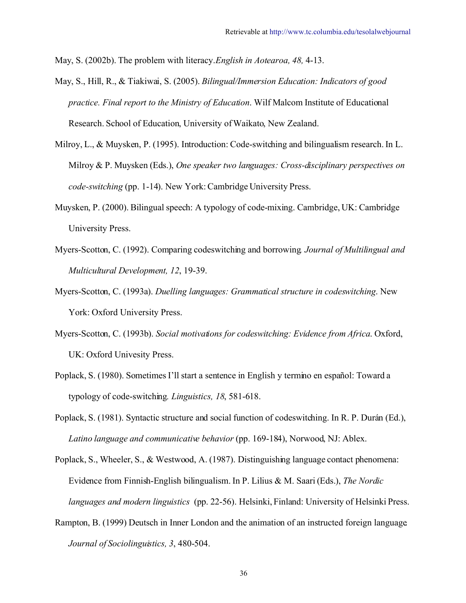May, S. (2002b). The problem with literacy.*English in Aotearoa, 48,* 4-13.

- May, S., Hill, R., & Tiakiwai, S. (2005). *Bilingual/Immersion Education: Indicators of good practice. Final report to the Ministry of Education*. Wilf Malcom Institute of Educational Research. School of Education, University of Waikato, New Zealand.
- Milroy, L., & Muysken, P. (1995). Introduction: Code-switching and bilingualism research. In L. Milroy & P. Muysken (Eds.), *One speaker two languages: Cross-disciplinary perspectives on code-switching* (pp. 1-14). New York: Cambridge University Press.
- Muysken, P. (2000). Bilingual speech: A typology of code-mixing. Cambridge, UK: Cambridge University Press.
- Myers-Scotton, C. (1992). Comparing codeswitching and borrowing*. Journal of Multilingual and Multicultural Development, 12*, 19-39.
- Myers-Scotton, C. (1993a). *Duelling languages: Grammatical structure in codeswitching*. New York: Oxford University Press.
- Myers-Scotton, C. (1993b). *Social motivations for codeswitching: Evidence from Africa*. Oxford, UK: Oxford Univesity Press.
- Poplack, S. (1980). Sometimes I'll start a sentence in English y termino en español: Toward a typology of code-switching*. Linguistics, 18*, 581-618.
- Poplack, S. (1981). Syntactic structure and social function of codeswitching. In R. P. Durán (Ed.), *Latino language and communicative behavior* (pp. 169-184), Norwood, NJ: Ablex.
- Poplack, S., Wheeler, S., & Westwood, A. (1987). Distinguishing language contact phenomena: Evidence from Finnish-English bilingualism. In P. Lilius & M. Saari (Eds.), *The Nordic languages and modern linguistics* (pp. 22-56). Helsinki, Finland: University of Helsinki Press.
- Rampton, B. (1999) Deutsch in Inner London and the animation of an instructed foreign language. *Journal of Sociolinguistics, 3*, 480-504.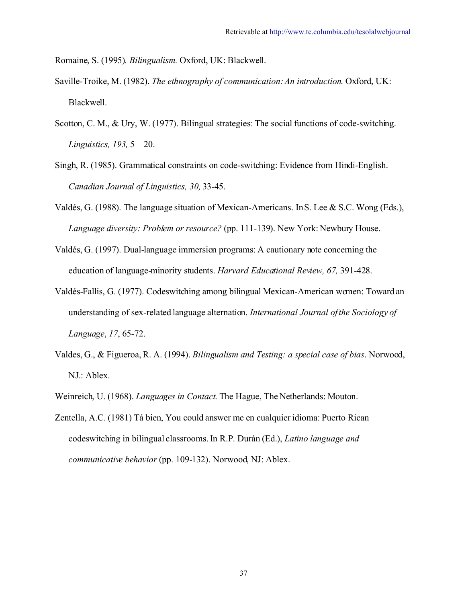Romaine, S. (1995)*. Bilingualism.* Oxford, UK: Blackwell.

- Saville-Troike, M. (1982). *The ethnography of communication: An introduction*. Oxford, UK: Blackwell.
- Scotton, C. M., & Ury, W. (1977). Bilingual strategies: The social functions of code-switching. *Linguistics, 193,* 5 – 20.
- Singh, R. (1985). Grammatical constraints on code-switching: Evidence from Hindi-English. *Canadian Journal of Linguistics, 30,* 33-45.
- Valdés, G. (1988). The language situation of Mexican-Americans. In S. Lee & S.C. Wong (Eds.), *Language diversity: Problem or resource?* (pp. 111-139). New York: Newbury House.
- Valdés, G. (1997). Dual-language immersion programs: A cautionary note concerning the education of language-minority students. *Harvard Educational Review, 67,* 391-428.
- Valdés-Fallis, G. (1977). Codeswitching among bilingual Mexican-American women: Toward an understanding of sex-related language alternation. *International Journal of the Sociology of Language*, *17*, 65-72.
- Valdes, G., & Figueroa, R. A. (1994). *Bilingualism and Testing: a special case of bias*. Norwood, NJ.: Ablex.
- Weinreich, U. (1968). *Languages in Contact*. The Hague, The Netherlands: Mouton.
- Zentella, A.C. (1981) Tá bien, You could answer me en cualquier idioma: Puerto Rican codeswitching in bilingual classrooms. In R.P. Durán (Ed.), *Latino language and communicative behavior* (pp. 109-132). Norwood, NJ: Ablex.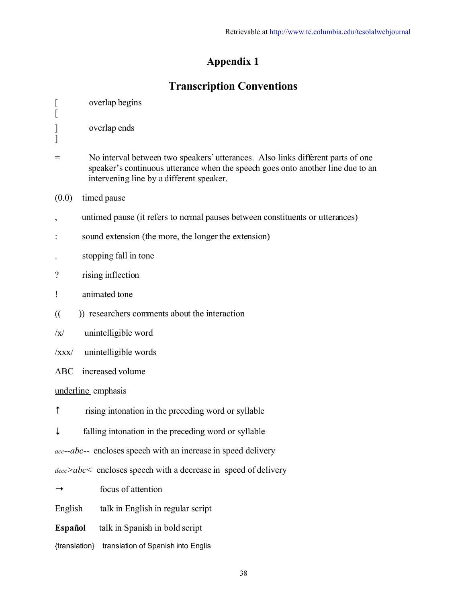## **Appendix 1**

# **Transcription Conventions**

| $\lceil$<br>$\overline{a}$                   | overlap begins                                                                                                                                                                                                 |  |  |  |
|----------------------------------------------|----------------------------------------------------------------------------------------------------------------------------------------------------------------------------------------------------------------|--|--|--|
| $\mathbf{l}$<br>]                            | overlap ends                                                                                                                                                                                                   |  |  |  |
| $=$                                          | No interval between two speakers' utterances. Also links different parts of one<br>speaker's continuous utterance when the speech goes onto another line due to an<br>intervening line by a different speaker. |  |  |  |
| (0.0)                                        | timed pause                                                                                                                                                                                                    |  |  |  |
|                                              | untimed pause (it refers to normal pauses between constituents or utterances)                                                                                                                                  |  |  |  |
|                                              | sound extension (the more, the longer the extension)                                                                                                                                                           |  |  |  |
|                                              | stopping fall in tone                                                                                                                                                                                          |  |  |  |
| $\gamma$                                     | rising inflection                                                                                                                                                                                              |  |  |  |
| ļ                                            | animated tone                                                                                                                                                                                                  |  |  |  |
| $\mathcal{L}$                                | )) researchers comments about the interaction                                                                                                                                                                  |  |  |  |
| $\sqrt{x}$                                   | unintelligible word                                                                                                                                                                                            |  |  |  |
| $\overline{\overline{\mathbf{X}}\mathbf{X}}$ | unintelligible words                                                                                                                                                                                           |  |  |  |
| <b>ABC</b>                                   | increased volume                                                                                                                                                                                               |  |  |  |
|                                              | underline emphasis                                                                                                                                                                                             |  |  |  |
| $\uparrow$                                   | rising intonation in the preceding word or syllable                                                                                                                                                            |  |  |  |
|                                              | falling intonation in the preceding word or syllable                                                                                                                                                           |  |  |  |
|                                              | acc--abc-- encloses speech with an increase in speed delivery                                                                                                                                                  |  |  |  |
|                                              | $\frac{decc}{abc}$ encloses speech with a decrease in speed of delivery                                                                                                                                        |  |  |  |
|                                              | focus of attention                                                                                                                                                                                             |  |  |  |
| English                                      | talk in English in regular script                                                                                                                                                                              |  |  |  |
| <b>Español</b>                               | talk in Spanish in bold script                                                                                                                                                                                 |  |  |  |
| {translation}                                | translation of Spanish into Englis                                                                                                                                                                             |  |  |  |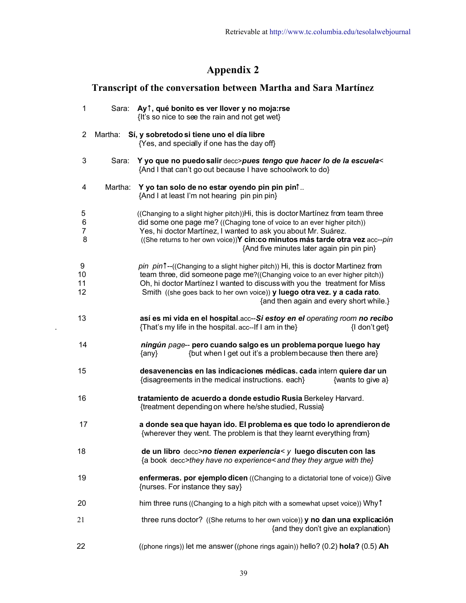## **Appendix 2**

## **Transcript of the conversation between Martha and Sara Martínez**

| $\mathbf{1}$        |         | Sara: Ay <sup>t</sup> , qué bonito es ver llover y no moja:rse<br>{It's so nice to see the rain and not get wet}                                                                                                                                                                                                                                                     |
|---------------------|---------|----------------------------------------------------------------------------------------------------------------------------------------------------------------------------------------------------------------------------------------------------------------------------------------------------------------------------------------------------------------------|
| $\overline{2}$      |         | Martha: Sí, y sobretodo si tiene uno el día libre<br>{Yes, and specially if one has the day off}                                                                                                                                                                                                                                                                     |
| 3                   | Sara:   | Y yo que no puedo salir decc>pues tengo que hacer lo de la escuela<<br>{And I that can't go out because I have schoolwork to do}                                                                                                                                                                                                                                     |
| 4                   | Martha: | Y yo tan solo de no estar oyendo pin pin pint<br>{And I at least I'm not hearing pin pin pin}                                                                                                                                                                                                                                                                        |
| 5<br>6<br>7<br>8    |         | ((Changing to a slight higher pitch))Hi, this is doctor Martinez from team three<br>did some one page me? ((Chaging tone of voice to an ever higher pitch))<br>Yes, hi doctor Martínez, I wanted to ask you about Mr. Suárez.<br>((She returns to her own voice))Y cin: co minutos más tarde otra vez acc--pin<br>{And five minutes later again pin pin pin}         |
| 9<br>10<br>11<br>12 |         | pin pin1--((Changing to a slight higher pitch)) Hi, this is doctor Martinez from<br>team three, did someone page me?((Changing voice to an ever higher pitch))<br>Oh, hi doctor Martínez I wanted to discuss with you the treatment for Miss<br>Smith ((she goes back to her own voice)) y luego otra vez. y a cada rato.<br>{and then again and every short while.} |
| 13                  |         | así es mi vida en el hospital.acc--Si estoy en el operating room no recibo<br>{That's my life in the hospital. acc--If I am in the}<br>{I don't get}                                                                                                                                                                                                                 |
| 14                  |         | ningún page-- pero cuando salgo es un problema porque luego hay<br>{but when I get out it's a problem because then there are}<br>$\{$ any $\}$                                                                                                                                                                                                                       |
| 15                  |         | desavenencias en las indicaciones médicas. cada intern quiere dar un<br>{disagreements in the medical instructions. each}<br>{wants to give a}                                                                                                                                                                                                                       |
| 16                  |         | tratamiento de acuerdo a donde estudio Rusia Berkeley Harvard.<br>{treatment depending on where he/she studied, Russia}                                                                                                                                                                                                                                              |
| 17                  |         | a donde sea que hayan ido. El problema es que todo lo aprendieron de<br>{wherever they went. The problem is that they learnt everything from}                                                                                                                                                                                                                        |
| 18                  |         | de un libro decc>no tienen experiencia< y luego discuten con las<br>{a book decc>they have no experience< and they they argue with the}                                                                                                                                                                                                                              |
| 19                  |         | enfermeras. por ejemplo dicen ((Changing to a dictatorial tone of voice)) Give<br>{nurses. For instance they say}                                                                                                                                                                                                                                                    |
| 20                  |         | him three runs ((Changing to a high pitch with a somewhat upset voice)) Why t                                                                                                                                                                                                                                                                                        |
| 21                  |         | three runs doctor? ((She returns to her own voice)) y no dan una explicación<br>{and they don't give an explanation}                                                                                                                                                                                                                                                 |
| 22                  |         | ((phone rings)) let me answer ((phone rings again)) hello? (0.2) hola? (0.5) Ah                                                                                                                                                                                                                                                                                      |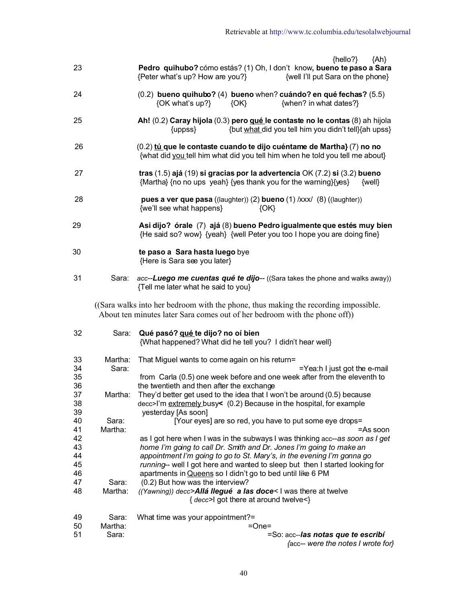- $\{ {\sf Anlo} \}$  and  $\{ {\sf Ahlo} \}$  and  $\{ {\sf Ahlo} \}$ 23 **Pedro quihubo?** cómo estás? (1) Oh, I don't know**, bueno te paso a Sara** {Peter what's up? How are you?} {well I'll put Sara on the phone} 24 (0.2) **bueno quihubo?** (4) **bueno** when? **cuándo? en qué fechas?** (5.5) {OK what's up?} {OK} {when? in what dates?} 25 **Ah!** (0.2) **Caray hijola** (0.3) **pero qué le contaste no le contas** (8) ah hijola {uppss} {but what did you tell him you didn't tell}{ah upss} 26 (0.2) **tú que le contaste cuando te dijo cuéntame de Martha}** (7) **no no** {what didyou tell him what did you tell him when he told you tell me about} 27 **tras** (1.5) **ajá** (19) **si gracias por la advertencia** OK (7.2) **si** (3.2) **bueno** {Martha} {no no ups yeah} {yes thank you for the warning}{yes} {well} 28 **pues a ver que pasa** ((laughter)) (2) **bueno** (1) /xxx/ (8) ((laughter)) {we'll see what happens} {OK}
	- 29 **Asi dijo? órale** (7) **ajá** (8) **bueno Pedro igualmente que estés muy bien** {He said so? wow} {yeah} {well Peter you too I hope you are doing fine}
	- 30 **te paso a Sara hasta luego** bye {Here is Sara see you later}
	- 31 Sara: *acc--Luego me cuentas qué te dijo--* ((Sara takes the phone and walks away)) {Tell me later what he said to you}

 ((Sara walks into her bedroom with the phone, thus making the recording impossible. About ten minutes later Sara comes out of her bedroom with the phone off))

| 32 | Sara:   | Qué pasó? qué te dijo? no oí bien                                            |
|----|---------|------------------------------------------------------------------------------|
|    |         | {What happened? What did he tell you? I didn't hear well}                    |
| 33 | Martha: | That Miguel wants to come again on his return=                               |
| 34 | Sara:   | $=$ Yea:h I just got the e-mail                                              |
| 35 |         | from Carla (0.5) one week before and one week after from the eleventh to     |
| 36 |         | the twentieth and then after the exchange                                    |
| 37 | Martha: | They'd better get used to the idea that I won't be around (0.5) because      |
| 38 |         | decc>I'm extremely busy< (0.2) Because in the hospital, for example          |
| 39 |         | yesterday [As soon]                                                          |
| 40 | Sara:   | [Your eyes] are so red, you have to put some eye drops=                      |
| 41 | Martha: | =As soon                                                                     |
| 42 |         | as I got here when I was in the subways I was thinking acc-as soon as I get  |
| 43 |         | home I'm going to call Dr. Smith and Dr. Jones I'm going to make an          |
| 44 |         | appointment I'm going to go to St. Mary's, in the evening I'm gonna go       |
| 45 |         | running-- well I got here and wanted to sleep but then I started looking for |
| 46 |         | apartments in Queens so I didn't go to bed until like 6 PM                   |
| 47 | Sara:   | (0.2) But how was the interview?                                             |
| 48 | Martha: | ((Yawning)) decc>Allá llegué a las doce< I was there at twelve               |
|    |         | { decc>l got there at around twelve<}                                        |
| 49 | Sara:   | What time was your appointment?=                                             |
| 50 | Martha: | $=One=$                                                                      |
| 51 | Sara:   | =So: acc--las notas que te escribí                                           |
|    |         | ${acc-}$ were the notes I wrote for $}$                                      |
|    |         |                                                                              |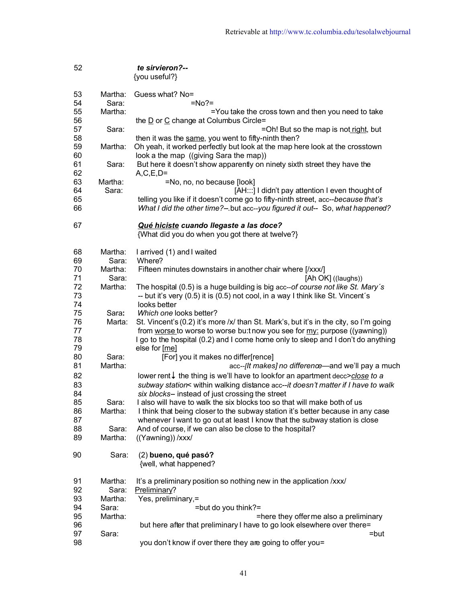| 52       |         | te sirvieron?--<br>{you useful?}                                                          |
|----------|---------|-------------------------------------------------------------------------------------------|
| 53       | Martha: | Guess what? No=                                                                           |
| 54       | Sara:   | $= No? =$                                                                                 |
| 55       | Martha: | =You take the cross town and then you need to take                                        |
| 56       |         | the $\underline{D}$ or $\underline{C}$ change at Columbus Circle=                         |
| 57       | Sara:   | =Oh! But so the map is not right, but                                                     |
| 58       |         | then it was the same, you went to fifty-ninth then?                                       |
| 59       | Martha: | Oh yeah, it worked perfectly but look at the map here look at the crosstown               |
| 60       |         | look a the map ((giving Sara the map))                                                    |
| 61       | Sara:   | But here it doesn't show apparently on ninety sixth street they have the                  |
| 62       |         | $A, C, E, D =$                                                                            |
| 63       | Martha: | =No, no, no because [look]                                                                |
| 64       | Sara:   | [AH:::] I didn't pay attention I even thought of                                          |
| 65       |         | telling you like if it doesn't come go to fifty-ninth street, acc--because that's         |
| 66       |         | What I did the other time?- but acc--you figured it out-- So, what happened?              |
| 67       |         | Qué hiciste cuando llegaste a las doce?                                                   |
|          |         | {What did you do when you got there at twelve?}                                           |
| 68       | Martha: | I arrived (1) and I waited                                                                |
| 69       | Sara:   | Where?                                                                                    |
| 70       | Martha: | Fifteen minutes downstairs in another chair where [/xxx/]                                 |
| 71       | Sara:   | [Ah OK] ((laughs))                                                                        |
| 72       | Martha: | The hospital (0.5) is a huge building is big acc--of course not like St. Mary's           |
| 73       |         | -- but it's very (0.5) it is (0.5) not cool, in a way I think like St. Vincent's          |
| 74       |         | looks better                                                                              |
| 75       | Sara:   | Which one looks better?                                                                   |
| 76       | Marta:  | St. Vincent's (0.2) it's more /x/ than St. Mark's, but it's in the city, so I'm going     |
| 77<br>78 |         | from worse to worse to worse bu: the you see for my: purpose ((yawning))                  |
| 79       |         | I go to the hospital (0.2) and I come home only to sleep and I don't do anything          |
| 80       | Sara:   | else for [me]                                                                             |
| 81       | Martha: | [For] you it makes no differ[rence]<br>acc--[It makes] no difference-and we'll pay a much |
|          |         |                                                                                           |
| 82       |         | lower rent $\downarrow$ the thing is we'll have to look for an apartment decc>close to a  |
| 83       |         | subway station< within walking distance acc--it doesn't matter if I have to walk          |
| 84       |         | six blocks-- instead of just crossing the street                                          |
| 85       | Sara:   | I also will have to walk the six blocks too so that will make both of us                  |
| 86       | Martha: | I think that being closer to the subway station it's better because in any case           |
| 87       |         | whenever I want to go out at least I know that the subway station is close                |
| 88       | Sara:   | And of course, if we can also be close to the hospital?                                   |
| 89       | Martha: | ((Yawning)) /xxx/                                                                         |
| 90       | Sara:   | (2) bueno, qué pasó?<br>{well, what happened?                                             |
| 91       | Martha: | It's a preliminary position so nothing new in the application /xxx/                       |
| 92       | Sara:   | Preliminary?                                                                              |
| 93       | Martha: | Yes, preliminary,=                                                                        |
| 94       | Sara:   | =but do you think?=                                                                       |
| 95       | Martha: | =here they offer me also a preliminary                                                    |
| 96       |         | but here after that preliminary I have to go look elsewhere over there=                   |
| 97       | Sara:   | $=$ but                                                                                   |
| 98       |         | you don't know if over there they are going to offer you=                                 |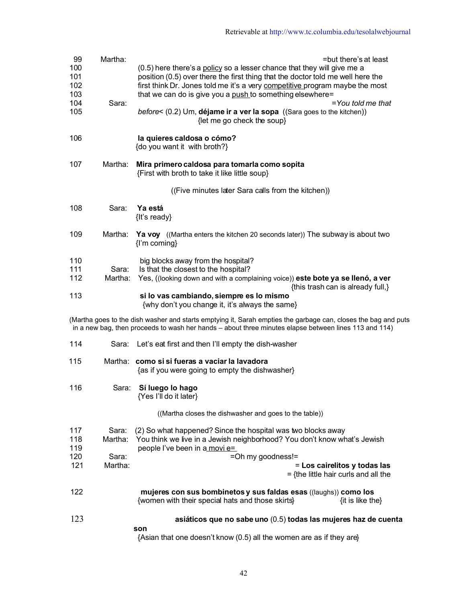| 99<br>100<br>101<br>102<br>103<br>104<br>105 | Martha:<br>Sara: | =but there's at least<br>(0.5) here there's a policy so a lesser chance that they will give me a<br>position (0.5) over there the first thing that the doctor told me well here the<br>first think Dr. Jones told me it's a very competitive program maybe the most<br>that we can do is give you a push to something elsewhere=<br>$=$ You told me that<br>before< $(0.2)$ Um, <b>déjame ir a ver la sopa</b> $((\text{Sara goes to the kitchen}))$ |
|----------------------------------------------|------------------|------------------------------------------------------------------------------------------------------------------------------------------------------------------------------------------------------------------------------------------------------------------------------------------------------------------------------------------------------------------------------------------------------------------------------------------------------|
| 106                                          |                  | {let me go check the soup}<br>la quieres caldosa o cómo?<br>{do you want it with broth?}                                                                                                                                                                                                                                                                                                                                                             |
| 107                                          | Martha:          | Mira primero caldosa para tomarla como sopita<br>{First with broth to take it like little soup}                                                                                                                                                                                                                                                                                                                                                      |
|                                              |                  | ((Five minutes later Sara calls from the kitchen))                                                                                                                                                                                                                                                                                                                                                                                                   |
| 108                                          | Sara:            | Ya está<br>{It's ready}                                                                                                                                                                                                                                                                                                                                                                                                                              |
| 109                                          | Martha:          | <b>Ya voy</b> (Martha enters the kitchen 20 seconds later)) The subway is about two<br>{I'm coming}                                                                                                                                                                                                                                                                                                                                                  |
| 110<br>111<br>112                            | Sara:<br>Martha: | big blocks away from the hospital?<br>Is that the closest to the hospital?<br>Yes, ((looking down and with a complaining voice)) este bote ya se llenó, a ver<br>{this trash can is already full,}                                                                                                                                                                                                                                                   |
| 113                                          |                  | si lo vas cambiando, siempre es lo mismo<br>{why don't you change it, it's always the same}                                                                                                                                                                                                                                                                                                                                                          |
|                                              |                  | (Martha goes to the dish washer and starts emptying it, Sarah empties the garbage can, closes the bag and puts<br>in a new bag, then proceeds to wash her hands - about three minutes elapse between lines 113 and 114)                                                                                                                                                                                                                              |
| 114                                          | Sara:            | Let's eat first and then I'll empty the dish-washer                                                                                                                                                                                                                                                                                                                                                                                                  |
| 115                                          | Martha:          | como si si fueras a vaciar la lavadora<br>{as if you were going to empty the dishwasher}                                                                                                                                                                                                                                                                                                                                                             |
| 116                                          | Sara:            | Sí luego lo hago<br>{Yes I'll do it later}                                                                                                                                                                                                                                                                                                                                                                                                           |
|                                              |                  | ((Martha closes the dishwasher and goes to the table))                                                                                                                                                                                                                                                                                                                                                                                               |
| 117<br>118<br>119                            | Sara:<br>Martha: | (2) So what happened? Since the hospital was two blocks away<br>You think we live in a Jewish neighborhood? You don't know what's Jewish<br>people l've been in a movi e=                                                                                                                                                                                                                                                                            |
| 120<br>121                                   | Sara:<br>Martha: | =Oh my goodness!=<br>= Los cairelitos y todas las<br>$=$ {the little hair curls and all the                                                                                                                                                                                                                                                                                                                                                          |
| 122                                          |                  | mujeres con sus bombinetos y sus faldas esas ((laughs)) como los<br>{women with their special hats and those skirts}<br>{it is like the}                                                                                                                                                                                                                                                                                                             |
| 123                                          |                  | asiáticos que no sabe uno (0.5) todas las mujeres haz de cuenta<br>son<br>{Asian that one doesn't know (0.5) all the women are as if they are}                                                                                                                                                                                                                                                                                                       |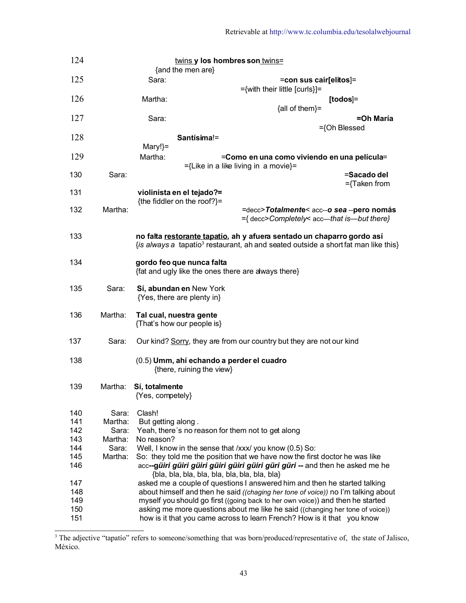| 124 |         | twins y los hombres son twins=<br>{and the men are}                                                                                                                      |                                                                                          |                 |
|-----|---------|--------------------------------------------------------------------------------------------------------------------------------------------------------------------------|------------------------------------------------------------------------------------------|-----------------|
| 125 |         | Sara:                                                                                                                                                                    |                                                                                          |                 |
|     |         |                                                                                                                                                                          | =con sus cair[elitos]=<br>={with their little [curls}]=                                  |                 |
| 126 |         | Martha:                                                                                                                                                                  |                                                                                          | $[todos] =$     |
|     |         |                                                                                                                                                                          | ${all of them}$ =                                                                        |                 |
| 127 |         | Sara:                                                                                                                                                                    |                                                                                          | =Oh María       |
|     |         |                                                                                                                                                                          |                                                                                          | ={Oh Blessed    |
| 128 |         | Santísima!=                                                                                                                                                              |                                                                                          |                 |
|     |         | Mary!}=                                                                                                                                                                  |                                                                                          |                 |
| 129 |         | Martha:                                                                                                                                                                  | =Como en una como viviendo en una película=                                              |                 |
|     |         |                                                                                                                                                                          | ={Like in a like living in a movie}=                                                     |                 |
| 130 | Sara:   |                                                                                                                                                                          |                                                                                          | =Sacado del     |
|     |         |                                                                                                                                                                          |                                                                                          | $=\{Taken from$ |
| 131 |         | violinista en el tejado?=                                                                                                                                                |                                                                                          |                 |
|     |         | {the fiddler on the roof?}=                                                                                                                                              |                                                                                          |                 |
| 132 | Martha: |                                                                                                                                                                          | =decc>Totalmente< acc--o sea --pero nomás<br>={ decc>Completely< acc-that is--but there} |                 |
| 133 |         | no falta restorante tapatío, ah y afuera sentado un chaparro gordo así<br>{is always a tapatio <sup>3</sup> restaurant, ah and seated outside a short fat man like this} |                                                                                          |                 |
| 134 |         | gordo feo que nunca falta<br>{fat and ugly like the ones there are always there}                                                                                         |                                                                                          |                 |
| 135 | Sara:   | Sí, abundan en New York<br>{Yes, there are plenty in}                                                                                                                    |                                                                                          |                 |
| 136 | Martha: | Tal cual, nuestra gente<br>{That's how our people is}                                                                                                                    |                                                                                          |                 |
| 137 | Sara:   |                                                                                                                                                                          | Our kind? Sorry, they are from our country but they are not our kind                     |                 |
| 138 |         | (0.5) Umm, ahí echando a perder el cuadro<br>{there, ruining the view}                                                                                                   |                                                                                          |                 |
| 139 | Martha: | Sí, totalmente<br>{Yes, competely}                                                                                                                                       |                                                                                          |                 |
| 140 | Sara:   | Clash!                                                                                                                                                                   |                                                                                          |                 |
| 141 | Martha: | But getting along.                                                                                                                                                       |                                                                                          |                 |
| 142 | Sara:   | Yeah, there's no reason for them not to get along                                                                                                                        |                                                                                          |                 |
| 143 | Martha: | No reason?                                                                                                                                                               |                                                                                          |                 |
| 144 | Sara:   | Well, I know in the sense that /xxx/ you know (0.5) So:                                                                                                                  |                                                                                          |                 |
| 145 | Martha: |                                                                                                                                                                          | So: they told me the position that we have now the first doctor he was like              |                 |
| 146 |         |                                                                                                                                                                          |                                                                                          |                 |
| 147 |         |                                                                                                                                                                          | asked me a couple of questions I answered him and then he started talking                |                 |
| 148 |         |                                                                                                                                                                          | about himself and then he said ((chaging her tone of voice)) no I'm talking about        |                 |
| 149 |         |                                                                                                                                                                          | myself you should go first ((going back to her own voice)) and then he started           |                 |
| 150 |         |                                                                                                                                                                          | asking me more questions about me like he said ((changing her tone of voice))            |                 |
| 151 |         |                                                                                                                                                                          | how is it that you came across to learn French? How is it that you know                  |                 |

<span id="page-42-0"></span><sup>&</sup>lt;sup>3</sup> The adjective "tapatío" refers to someone/something that was born/produced/representative of, the state of Jalisco, México.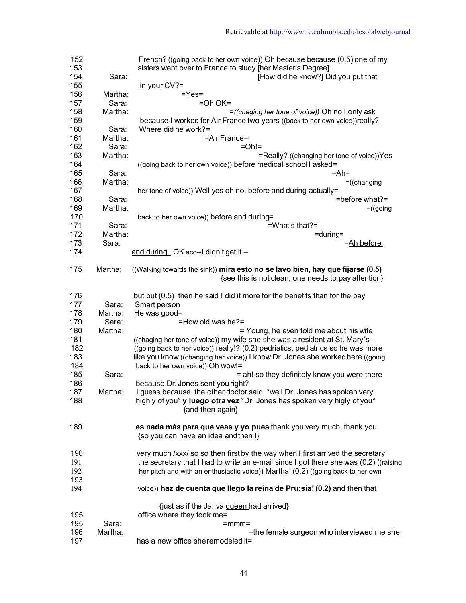| 152 |         | French? ((going back to her own voice)) Oh because because (0.5) one of my                                                           |
|-----|---------|--------------------------------------------------------------------------------------------------------------------------------------|
| 153 |         | sisters went over to France to study [her Master's Degree]                                                                           |
| 154 | Sara:   | [How did he know?] Did you put that                                                                                                  |
| 155 |         | in your CV?=                                                                                                                         |
| 156 | Martha: | $=$ Yes $=$                                                                                                                          |
| 157 | Sara:   | $=$ Oh OK $=$                                                                                                                        |
| 158 | Martha: | =((chaging her tone of voice)) Oh no I only ask                                                                                      |
| 159 |         | because I worked for Air France two years ((back to her own voice))really?                                                           |
|     |         | Where did he work?=                                                                                                                  |
| 160 | Sara:   |                                                                                                                                      |
| 161 | Martha: | =Air France=                                                                                                                         |
| 162 | Sara:   | $=Oh!=$                                                                                                                              |
| 163 | Martha: | =Really? ((changing her tone of voice))Yes                                                                                           |
| 164 |         | ((going back to her own voice)) before medical school I asked=                                                                       |
| 165 | Sara:   | $=$ Ah $=$                                                                                                                           |
| 166 | Martha: | $=$ ((changing                                                                                                                       |
| 167 |         | her tone of voice)) Well yes oh no, before and during actually=                                                                      |
| 168 | Sara:   | =before what?=                                                                                                                       |
| 169 | Martha: | $=$ (going                                                                                                                           |
| 170 |         | back to her own voice)) before and during=                                                                                           |
| 171 | Sara:   | =What's that?=                                                                                                                       |
| 172 | Martha: | $=$ during $=$                                                                                                                       |
| 173 | Sara:   | =Ah before                                                                                                                           |
|     |         |                                                                                                                                      |
| 174 |         | and during OK acc--I didn't get it -                                                                                                 |
| 175 | Martha: | ((Walking towards the sink)) mira esto no se lavo bien, hay que fijarse (0.5)<br>{see this is not clean, one needs to pay attention} |
| 176 |         | but but (0.5) then he said I did it more for the benefits than for the pay                                                           |
| 177 | Sara:   | Smart person                                                                                                                         |
| 178 | Martha: | He was good=                                                                                                                         |
| 179 | Sara:   | $=$ How old was he? $=$                                                                                                              |
| 180 | Martha: | = Young, he even told me about his wife                                                                                              |
| 181 |         | ((chaging her tone of voice)) my wife she she was a resident at St. Mary's                                                           |
| 182 |         | ((going back to her voice)) really!? (0.2) pedriatics, pediatrics so he was more                                                     |
| 183 |         |                                                                                                                                      |
|     |         | like you know ((changing her voice)) I know Dr. Jones she worked here ((going                                                        |
| 184 |         | back to her own voice)) Oh wow!=                                                                                                     |
| 185 | Sara:   | = ah! so they definitely know you were there                                                                                         |
| 186 |         | because Dr. Jones sent you right?                                                                                                    |
| 187 | Martha: | I guess because the other doctor said °well Dr. Jones has spoken very                                                                |
| 188 |         | highly of you <sup>o</sup> y luego otra vez °Dr. Jones has spoken very higly of you°<br>{and then again}                             |
| 189 |         | es nada más para que veas y yo pues thank you very much, thank you<br>{so you can have an idea and then I}                           |
| 190 |         | very much /xxx/ so so then first by the way when I first arrived the secretary                                                       |
| 191 |         | the secretary that I had to write an e-mail since I got there she was (0.2) ((raising                                                |
| 192 |         | her pitch and with an enthusiastic voice)) Martha! (0.2) ((going back to her own                                                     |
| 193 |         |                                                                                                                                      |
| 194 |         | voice)) haz de cuenta que llego la reina de Pru:sia! (0.2) and then that                                                             |
|     |         | {just as if the Ja: va queen had arrived}                                                                                            |
| 195 |         | office where they took me=                                                                                                           |
| 195 | Sara:   |                                                                                                                                      |
|     |         | =mmm=                                                                                                                                |
| 196 | Martha: | =the female surgeon who interviewed me she                                                                                           |
| 197 |         | has a new office sheremodeled it=                                                                                                    |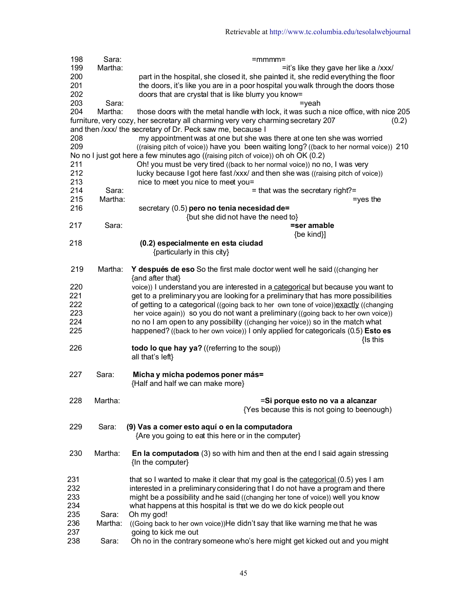| 198 | Sara:   | =mmmm=                                                                                     |
|-----|---------|--------------------------------------------------------------------------------------------|
| 199 | Martha: | =it's like they gave her like a /xxx/                                                      |
| 200 |         | part in the hospital, she closed it, she painted it, she redid everything the floor        |
| 201 |         | the doors, it's like you are in a poor hospital you walk through the doors those           |
| 202 |         | doors that are crystal that is like blurry you know=                                       |
| 203 | Sara:   | $=$ yeah                                                                                   |
| 204 | Martha: | those doors with the metal handle with lock, it was such a nice office, with nice 205      |
|     |         | furniture, very cozy, her secretary all charming very very charming secretary 207<br>(0.2) |
|     |         | and then /xxx/ the secretary of Dr. Peck saw me, because I                                 |
| 208 |         | my appointment was at one but she was there at one ten she was worried                     |
| 209 |         | ((raising pitch of voice)) have you been waiting long? ((back to her normal voice)) 210    |
|     |         |                                                                                            |
|     |         | No no I just got here a few minutes ago ((raising pitch of voice)) oh oh OK (0.2)          |
| 211 |         | Oh! you must be very tired ((back to her normal voice)) no no, I was very                  |
| 212 |         | lucky because I got here fast /xxx/ and then she was ((raising pitch of voice))            |
| 213 |         | nice to meet you nice to meet you=                                                         |
| 214 | Sara:   | $=$ that was the secretary right?=                                                         |
| 215 | Martha: | $=$ yes the                                                                                |
| 216 |         | secretary (0.5) pero no tenia necesidad de=                                                |
|     |         | {but she did not have the need to}                                                         |
| 217 | Sara:   | =ser amable                                                                                |
|     |         | {be kind}]                                                                                 |
| 218 |         | (0.2) especialmente en esta ciudad                                                         |
|     |         | {particularly in this city}                                                                |
|     |         |                                                                                            |
| 219 | Martha: | Y después de eso So the first male doctor went well he said ((changing her                 |
|     |         | {and after that}                                                                           |
| 220 |         | voice)) I understand you are interested in a categorical but because you want to           |
| 221 |         | get to a preliminary you are looking for a preliminary that has more possibilities         |
| 222 |         | of getting to a categorical ((going back to her own tone of voice)) exactly ((changing     |
| 223 |         | her voice again)) so you do not want a preliminary ((going back to her own voice))         |
| 224 |         | no no I am open to any possibility ((changing her voice)) so in the match what             |
| 225 |         | happened? ((back to her own voice)) I only applied for categoricals (0.5) Esto es          |
|     |         | {Is this                                                                                   |
| 226 |         | todo lo que hay ya? ((referring to the soup))                                              |
|     |         | all that's left}                                                                           |
|     |         |                                                                                            |
| 227 | Sara:   | Micha y micha podemos poner más=                                                           |
|     |         | {Half and half we can make more}                                                           |
|     |         |                                                                                            |
| 228 | Martha: | =Si porque esto no va a alcanzar                                                           |
|     |         | {Yes because this is not going to beenough)                                                |
|     |         |                                                                                            |
| 229 | Sara:   | (9) Vas a comer esto aquí o en la computadora                                              |
|     |         | {Are you going to eat this here or in the computer}                                        |
|     |         |                                                                                            |
| 230 | Martha: | En la computadora $(3)$ so with him and then at the end I said again stressing             |
|     |         | {In the computer}                                                                          |
|     |         |                                                                                            |
| 231 |         | that so I wanted to make it clear that my goal is the categorical (0.5) yes I am           |
| 232 |         | interested in a preliminary considering that I do not have a program and there             |
| 233 |         | might be a possibility and he said ((changing her tone of voice)) well you know            |
| 234 |         | what happens at this hospital is that we do we do kick people out                          |
| 235 |         |                                                                                            |
|     | Sara:   | Oh my god!                                                                                 |
| 236 | Martha: | ((Going back to her own voice))He didn't say that like warning me that he was              |
| 237 |         | going to kick me out                                                                       |
| 238 | Sara:   | Oh no in the contrary someone who's here might get kicked out and you might                |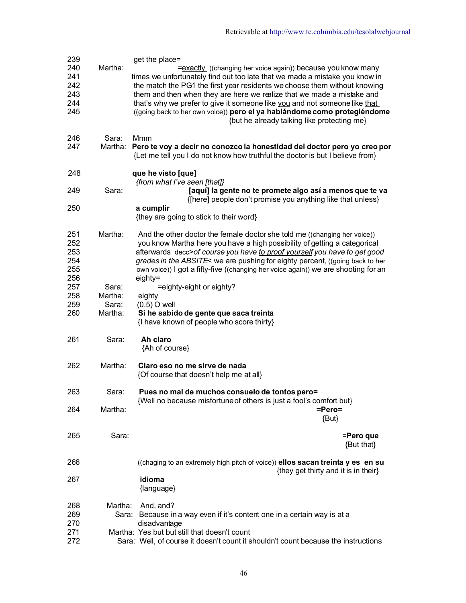| 239        |         | get the place=                                                                                                                                            |
|------------|---------|-----------------------------------------------------------------------------------------------------------------------------------------------------------|
| 240        | Martha: | =exactly ((changing her voice again)) because you know many                                                                                               |
| 241<br>242 |         | times we unfortunately find out too late that we made a mistake you know in<br>the match the PG1 the first year residents we choose them without knowing  |
| 243        |         | them and then when they are here we realize that we made a mistake and                                                                                    |
| 244        |         | that's why we prefer to give it someone like you and not someone like that                                                                                |
| 245        |         | ((going back to her own voice)) pero el ya hablándome como protegiéndome                                                                                  |
|            |         | {but he already talking like protecting me}                                                                                                               |
| 246        | Sara:   | Mmm                                                                                                                                                       |
| 247        | Martha: | Pero te voy a decir no conozco la honestidad del doctor pero yo creo por<br>{Let me tell you I do not know how truthful the doctor is but I believe from} |
| 248        |         | que he visto [que]<br>{from what I've seen [that]}                                                                                                        |
| 249        | Sara:   | [aquí] la gente no te promete algo así a menos que te va<br>{[here] people don't promise you anything like that unless}                                   |
| 250        |         | a cumplir                                                                                                                                                 |
|            |         | {they are going to stick to their word}                                                                                                                   |
| 251        | Martha: | And the other doctor the female doctor she told me ((changing her voice))                                                                                 |
| 252<br>253 |         | you know Martha here you have a high possibility of getting a categorical                                                                                 |
| 254        |         | afterwards decc>of course you have to proof yourself you have to get good<br>grades in the ABSITE< we are pushing for eighty percent, ((going back to her |
| 255        |         | own voice)) I got a fifty-five ((changing her voice again)) we are shooting for an                                                                        |
| 256        |         | eighty=                                                                                                                                                   |
| 257        | Sara:   | =eighty-eight or eighty?                                                                                                                                  |
| 258        | Martha: | eighty                                                                                                                                                    |
| 259        | Sara:   | $(0.5)$ O well                                                                                                                                            |
| 260        | Martha: | Si he sabido de gente que saca treinta<br>{I have known of people who score thirty}                                                                       |
| 261        | Sara:   | Ah claro<br>{Ah of course}                                                                                                                                |
| 262        | Martha: | Claro eso no me sirve de nada<br>{Of course that doesn't help me at all}                                                                                  |
| 263        | Sara:   | Pues no mal de muchos consuelo de tontos pero=<br>{Well no because misfortune of others is just a fool's comfort but}                                     |
| 264        | Martha: | =Pero=                                                                                                                                                    |
|            |         | $\{But\}$                                                                                                                                                 |
| 265        | Sara:   | =Pero que<br>{But that}                                                                                                                                   |
| 266        |         | ((chaging to an extremely high pitch of voice)) ellos sacan treinta y es en su<br>{they get thirty and it is in their}                                    |
| 267        |         | idioma<br>{language}                                                                                                                                      |
| 268        | Martha: | And, and?                                                                                                                                                 |
| 269        | Sara:   | Because in a way even if it's content one in a certain way is at a                                                                                        |
| 270        |         | disadvantage                                                                                                                                              |
| 271        |         | Martha: Yes but but still that doesn't count                                                                                                              |
| 272        |         | Sara: Well, of course it doesn't count it shouldn't count because the instructions                                                                        |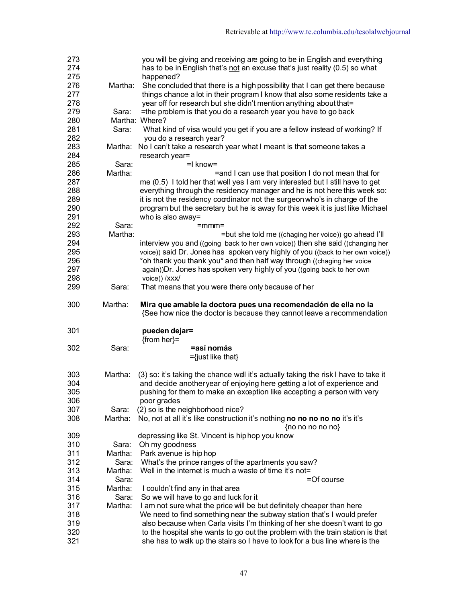| 273<br>274 |         | you will be giving and receiving are going to be in English and everything<br>has to be in English that's not an excuse that's just reality (0.5) so what     |
|------------|---------|---------------------------------------------------------------------------------------------------------------------------------------------------------------|
| 275        |         | happened?                                                                                                                                                     |
| 276        | Martha: | She concluded that there is a high possibility that I can get there because                                                                                   |
| 277        |         | things chance a lot in their program I know that also some residents take a                                                                                   |
| 278        |         | year off for research but she didn't mention anything about that=                                                                                             |
| 279        | Sara:   | =the problem is that you do a research year you have to go back                                                                                               |
| 280        |         | Martha: Where?                                                                                                                                                |
| 281        | Sara:   | What kind of visa would you get if you are a fellow instead of working? If                                                                                    |
| 282        |         | you do a research year?                                                                                                                                       |
| 283        | Martha: | No I can't take a research year what I meant is that someone takes a                                                                                          |
| 284        |         | research year=                                                                                                                                                |
| 285        | Sara:   | $=$ I know $=$                                                                                                                                                |
| 286        | Martha: | =and I can use that position I do not mean that for                                                                                                           |
| 287        |         | me (0.5) I told her that well yes I am very interested but I still have to get                                                                                |
| 288        |         | everything through the residency manager and he is not here this week so:                                                                                     |
| 289        |         | it is not the residency coordinator not the surgeon who's in charge of the                                                                                    |
| 290        |         | program but the secretary but he is away for this week it is just like Michael                                                                                |
| 291        |         | who is also away=                                                                                                                                             |
| 292        | Sara:   | =mmm=                                                                                                                                                         |
| 293        | Martha: | =but she told me ((chaging her voice)) go ahead I'll                                                                                                          |
| 294        |         | interview you and ((going back to her own voice)) then she said ((changing her                                                                                |
| 295        |         | voice)) said Dr. Jones has spoken very highly of you ((back to her own voice))                                                                                |
| 296        |         | °oh thank you thank you° and then half way through ((chaging her voice                                                                                        |
| 297        |         | again)) Dr. Jones has spoken very highly of you ((going back to her own                                                                                       |
| 298        |         |                                                                                                                                                               |
|            |         | voice)) /xxx/                                                                                                                                                 |
| 299        | Sara:   | That means that you were there only because of her                                                                                                            |
| 300        | Martha: | Mira que amable la doctora pues una recomendación de ella no la<br>{See how nice the doctor is because they cannot leave a recommendation                     |
| 301        |         | pueden dejar=                                                                                                                                                 |
|            |         | $\{from her\}$ =                                                                                                                                              |
| 302        | Sara:   | =así nomás                                                                                                                                                    |
|            |         | $=\{just like that\}$                                                                                                                                         |
|            |         |                                                                                                                                                               |
| 303        | Martha: | (3) so: it's taking the chance well it's actually taking the risk I have to take it                                                                           |
| 304        |         | and decide another year of enjoying here getting a lot of experience and                                                                                      |
| 305        |         | pushing for them to make an exception like accepting a person with very                                                                                       |
| 306        |         | poor grades                                                                                                                                                   |
| 307        | Sara:   | (2) so is the neighborhood nice?                                                                                                                              |
| 308        | Martha: | No, not at all it's like construction it's nothing no no no no no it's it's                                                                                   |
|            |         | {no no no no no}                                                                                                                                              |
| 309        |         | depressing like St. Vincent is hiphop you know                                                                                                                |
| 310        | Sara:   | Oh my goodness                                                                                                                                                |
| 311        | Martha: | Park avenue is hip hop                                                                                                                                        |
| 312        | Sara:   | What's the prince ranges of the apartments you saw?                                                                                                           |
| 313        | Martha: | Well in the internet is much a waste of time it's not=                                                                                                        |
| 314        | Sara:   | =Of course                                                                                                                                                    |
| 315        | Martha: | I couldn't find any in that area                                                                                                                              |
| 316        | Sara:   | So we will have to go and luck for it                                                                                                                         |
| 317        | Martha: | I am not sure what the price will be but definitely cheaper than here                                                                                         |
| 318        |         | We need to find something near the subway station that's I would prefer                                                                                       |
| 319        |         | also because when Carla visits I'm thinking of her she doesn't want to go                                                                                     |
| 320<br>321 |         | to the hospital she wants to go out the problem with the train station is that<br>she has to walk up the stairs so I have to look for a bus line where is the |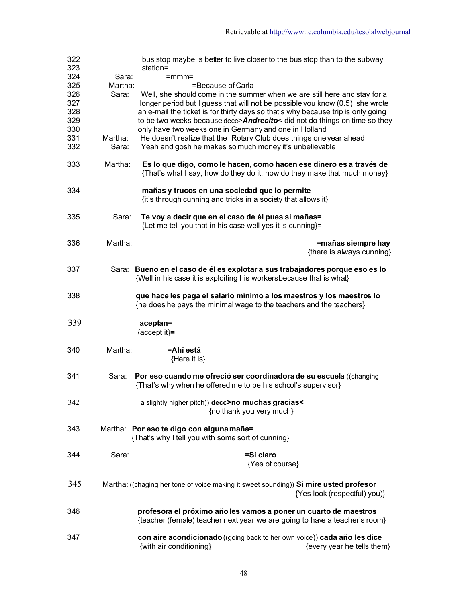| 322<br>323 |         | bus stop maybe is better to live closer to the bus stop than to the subway<br>station=                                                              |                                                 |
|------------|---------|-----------------------------------------------------------------------------------------------------------------------------------------------------|-------------------------------------------------|
| 324        | Sara:   | =mmm=                                                                                                                                               |                                                 |
| 325        | Martha: | =Because of Carla                                                                                                                                   |                                                 |
| 326        | Sara:   | Well, she should come in the summer when we are still here and stay for a                                                                           |                                                 |
| 327        |         | longer period but I guess that will not be possible you know (0.5) she wrote                                                                        |                                                 |
| 328        |         | an e-mail the ticket is for thirty days so that's why because trip is only going                                                                    |                                                 |
|            |         |                                                                                                                                                     |                                                 |
| 329        |         | to be two weeks because decc> <b>Andrecito</b> < did not do things on time so they                                                                  |                                                 |
| 330        |         | only have two weeks one in Germany and one in Holland                                                                                               |                                                 |
| 331        | Martha: | He doesn't realize that the Rotary Club does things one year ahead                                                                                  |                                                 |
| 332        | Sara:   | Yeah and gosh he makes so much money it's unbelievable                                                                                              |                                                 |
| 333        | Martha: | Es lo que digo, como le hacen, como hacen ese dinero es a través de<br>{That's what I say, how do they do it, how do they make that much money}     |                                                 |
| 334        |         | mañas y trucos en una sociedad que lo permite<br>{it's through cunning and tricks in a society that allows it}                                      |                                                 |
| 335        | Sara:   | Te voy a decir que en el caso de él pues si mañas=<br>{Let me tell you that in his case well yes it is cunning}=                                    |                                                 |
| 336        | Martha: |                                                                                                                                                     | =mañas siempre hay<br>{there is always cunning} |
| 337        |         | Sara: Bueno en el caso de él es explotar a sus trabajadores porque eso es lo<br>{Well in his case it is exploiting his workersbecause that is what} |                                                 |
| 338        |         | que hace les paga el salario mínimo a los maestros y los maestros lo<br>{he does he pays the minimal wage to the teachers and the teachers}         |                                                 |
| 339        |         | aceptan=<br>${accept it}$                                                                                                                           |                                                 |
| 340        | Martha: | =Ahí está                                                                                                                                           |                                                 |
|            |         | {Here it is}                                                                                                                                        |                                                 |
| 341        | Sara:   | Por eso cuando me ofreció ser coordinadora de su escuela ((changing<br>{That's why when he offered me to be his school's supervisor}                |                                                 |
| 342        |         | a slightly higher pitch)) decc>no muchas gracias<<br>{no thank you very much}                                                                       |                                                 |
| 343        |         | Martha: Por eso te digo con alguna maña=<br>{That's why I tell you with some sort of cunning}                                                       |                                                 |
| 344        | Sara:   | =Sí claro<br>{Yes of course}                                                                                                                        |                                                 |
| 345        |         | Martha: ((chaging her tone of voice making it sweet sounding)) Si mire usted profesor                                                               | {Yes look (respectful) you)}                    |
| 346        |         | profesora el próximo año les vamos a poner un cuarto de maestros<br>{teacher (female) teacher next year we are going to have a teacher's room}      |                                                 |
| 347        |         | con aire acondicionado ((going back to her own voice)) cada año les dice<br>{with air conditioning}                                                 | {every year he tells them}                      |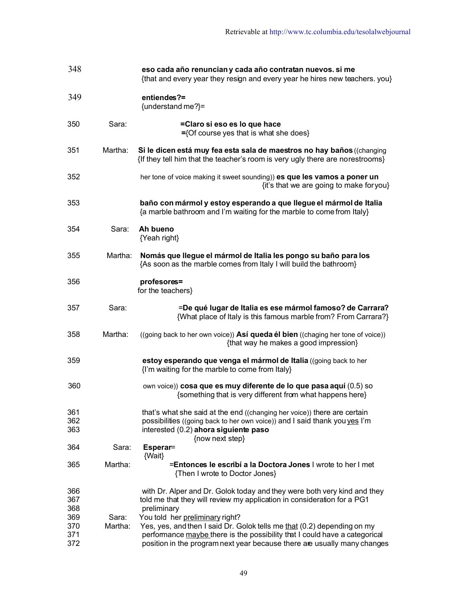| 348               |         | eso cada año renuncian y cada año contratan nuevos. si me<br>{that and every year they resign and every year he hires new teachers. you}                           |
|-------------------|---------|--------------------------------------------------------------------------------------------------------------------------------------------------------------------|
| 349               |         | entiendes?=<br>{understand me?}=                                                                                                                                   |
| 350               | Sara:   | =Claro si eso es lo que hace<br>={Of course yes that is what she does}                                                                                             |
| 351               | Martha: | Si le dicen está muy fea esta sala de maestros no hay baños ((changing<br>{If they tell him that the teacher's room is very ugly there are norestrooms}            |
| 352               |         | her tone of voice making it sweet sounding)) es que les vamos a poner un<br>{it's that we are going to make for you}                                               |
| 353               |         | baño con mármol y estoy esperando a que llegue el mármol de Italia<br>{a marble bathroom and I'm waiting for the marble to come from Italy}                        |
| 354               | Sara:   | Ah bueno<br>{Yeah right}                                                                                                                                           |
| 355               | Martha: | Nomás que llegue el mármol de Italia les pongo su baño para los<br>{As soon as the marble comes from Italy I will build the bathroom}                              |
| 356               |         | profesores=<br>for the teachers}                                                                                                                                   |
| 357               | Sara:   | =De qué lugar de Italia es ese mármol famoso? de Carrara?<br>{What place of Italy is this famous marble from? From Carrara?}                                       |
| 358               | Martha: | ((going back to her own voice)) Así queda él bien ((chaging her tone of voice))<br>{that way he makes a good impression}                                           |
| 359               |         | estoy esperando que venga el mármol de Italia ((going back to her<br>{I'm waiting for the marble to come from Italy}                                               |
| 360               |         | own voice)) cosa que es muy diferente de lo que pasa aquí (0.5) so<br>{something that is very different from what happens here}                                    |
| 361               |         | that's what she said at the end ((changing her voice)) there are certain                                                                                           |
| 362               |         | possibilities ((going back to her own voice)) and I said thank you yes I'm                                                                                         |
| 363               |         | interested (0.2) ahora siguiente paso                                                                                                                              |
| 364               | Sara:   | {now next step}<br>Esperar=<br>{Wait}                                                                                                                              |
| 365               | Martha: | =Entonces le escribí a la Doctora Jones I wrote to her I met<br>{Then I wrote to Doctor Jones}                                                                     |
| 366<br>367<br>368 |         | with Dr. Alper and Dr. Golok today and they were both very kind and they<br>told me that they will review my application in consideration for a PG1<br>preliminary |
| 369               | Sara:   | You told her preliminary right?                                                                                                                                    |
| 370               | Martha: | Yes, yes, and then I said Dr. Golok tells me that (0.2) depending on my                                                                                            |
| 371<br>372        |         | performance maybe there is the possibility that I could have a categorical<br>position in the program next year because there are usually many changes             |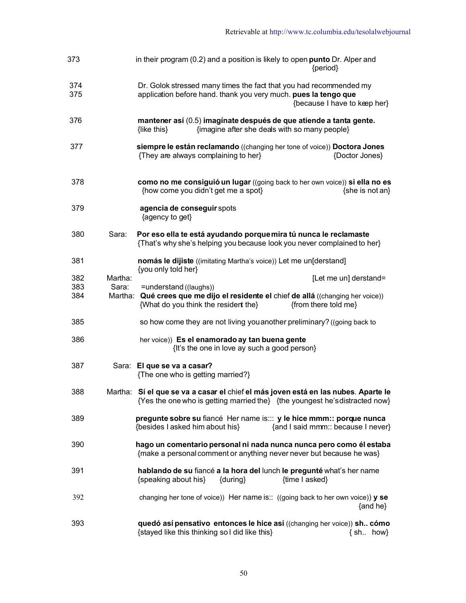| 373        | in their program (0.2) and a position is likely to open punto Dr. Alper and<br>{period}                                                                               |
|------------|-----------------------------------------------------------------------------------------------------------------------------------------------------------------------|
| 374<br>375 | Dr. Golok stressed many times the fact that you had recommended my<br>application before hand. thank you very much. pues la tengo que<br>{because I have to keep her} |
| 376        | mantener así (0.5) imaginate después de que atiende a tanta gente.<br>{imagine after she deals with so many people}<br>{like this}                                    |
| 377        | siempre le están reclamando ((changing her tone of voice)) Doctora Jones<br>{They are always complaining to her}<br>{Doctor Jones}                                    |
| 378        | como no me consiguió un lugar ((going back to her own voice)) si ella no es<br>{how come you didn't get me a spot}<br>{she is not an}                                 |
| 379        | agencia de conseguir spots<br>{agency to get}                                                                                                                         |
| 380        | Por eso ella te está ayudando porque mira tú nunca le reclamaste<br>Sara:<br>{That's why she's helping you because look you never complained to her}                  |
| 381        | nomás le dijiste ((imitating Martha's voice)) Let me un[derstand]<br>{you only told her}                                                                              |
| 382        | Martha:<br>[Let me un] derstand=                                                                                                                                      |
| 383        | Sara:<br>=understand ((laughs))                                                                                                                                       |
| 384        | Martha: Qué crees que me dijo el residente el chief de allá ((changing her voice))<br>{What do you think the resident the}<br>{from there told me}                    |
| 385        | so how come they are not living you another preliminary? ((going back to                                                                                              |
| 386        | her voice)) Es el enamorado ay tan buena gente<br>{It's the one in love ay such a good person}                                                                        |
| 387        | Sara: El que se va a casar?<br>{The one who is getting married?}                                                                                                      |
| 388        | Martha: Sí el que se va a casar el chief el más joven está en las nubes. Aparte le<br>{Yes the one who is getting married the} {the youngest he's distracted now}     |
| 389        | pregunte sobre su fiancé Her name is::: y le hice mmm:: porque nunca<br>{and I said mmm:: because I never}<br>{besides I asked him about his}                         |
| 390        | hago un comentario personal ni nada nunca nunca pero como él estaba<br>{make a personal comment or anything never never but because he was}                           |
| 391        | hablando de su fiancé a la hora del lunch le pregunté what's her name<br>{speaking about his}<br>{time I asked}<br>{during}                                           |
| 392        | changing her tone of voice)) Her name is:: ((going back to her own voice)) $y$ se<br>$\{and he\}$                                                                     |
| 393        | quedó así pensativo entonces le hice asi ((changing her voice)) sh cómo<br>{stayed like this thinking so I did like this}<br>$\{ sh. \; how\}$                        |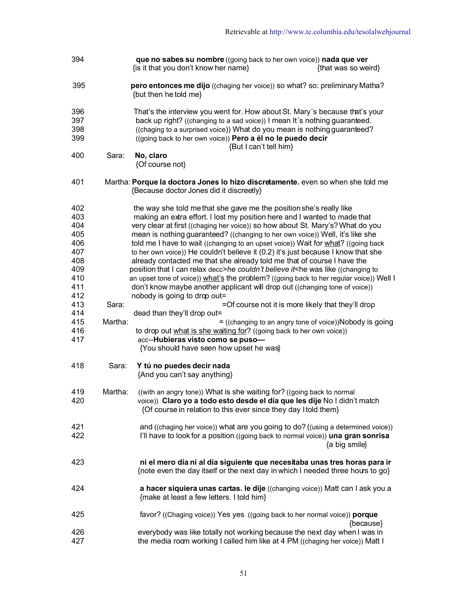| 394                      | que no sabes su nombre ((going back to her own voice)) nada que ver<br>{is it that you don't know her name}<br>{that was so weird}                                                                                                                                                                                             |
|--------------------------|--------------------------------------------------------------------------------------------------------------------------------------------------------------------------------------------------------------------------------------------------------------------------------------------------------------------------------|
| 395                      | pero entonces me dijo ((chaging her voice)) so what? so: preliminary Matha?<br>{but then he told me}                                                                                                                                                                                                                           |
| 396<br>397<br>398<br>399 | That's the interview you went for. How about St. Mary's because that's your<br>back up right? ((changing to a sad voice)) I mean It's nothing guaranteed.<br>((chaging to a surprised voice)) What do you mean is nothing guaranteed?<br>((going back to her own voice)) Pero a él no le puedo decir<br>{But I can't tell him} |
| 400                      | Sara:<br>No, claro<br>{Of course not}                                                                                                                                                                                                                                                                                          |
| 401                      | Martha: Porque la doctora Jones lo hizo discretamente. even so when she told me<br>{Because doctor Jones did it discreetly}                                                                                                                                                                                                    |
| 402                      | the way she told me that she gave me the position she's really like                                                                                                                                                                                                                                                            |
| 403                      | making an extra effort. I lost my position here and I wanted to made that                                                                                                                                                                                                                                                      |
| 404                      | very clear at first ((chaging her voice)) so how about St. Mary's? What do you                                                                                                                                                                                                                                                 |
| 405                      | mean is nothing guaranteed? ((changing to her own voice)) Well, it's like she                                                                                                                                                                                                                                                  |
| 406                      | told me I have to wait ((changing to an upset voice)) Wait for what? ((going back                                                                                                                                                                                                                                              |
| 407                      | to her own voice)) He couldn't believe it (0.2) it's just because I know that she                                                                                                                                                                                                                                              |
| 408                      | already contacted me that she already told me that of course I have the                                                                                                                                                                                                                                                        |
| 409                      | position that I can relax decc>he couldn't believe it <he ((changing="" like="" td="" to<="" was=""></he>                                                                                                                                                                                                                      |
| 410                      | an upset tone of voice)) what's the problem? ((going back to her regular voice)) Well I                                                                                                                                                                                                                                        |
| 411                      | don't know maybe another applicant will drop out ((changing tone of voice))                                                                                                                                                                                                                                                    |
| 412                      | nobody is going to drop out=                                                                                                                                                                                                                                                                                                   |
| 413                      | Sara:<br>=Of course not it is more likely that they'll drop                                                                                                                                                                                                                                                                    |
| 414                      | dead than they'll drop out=                                                                                                                                                                                                                                                                                                    |
| 415                      | Martha:<br>= ((changing to an angry tone of voice))Nobody is going                                                                                                                                                                                                                                                             |
| 416                      | to drop out what is she waiting for? ((going back to her own voice))                                                                                                                                                                                                                                                           |
| 417                      | acc--Hubieras visto como se puso-                                                                                                                                                                                                                                                                                              |
|                          | {You should have seen how upset he was}                                                                                                                                                                                                                                                                                        |
| 418                      | Sara:<br>Y tú no puedes decir nada<br>{And you can't say anything}                                                                                                                                                                                                                                                             |
| 419                      | Martha:<br>((with an angry tone)) What is she waiting for? ((going back to normal                                                                                                                                                                                                                                              |
| 420                      | voice)) Claro yo a todo esto desde el día que les dije No I didn't match<br>{Of course in relation to this ever since they day I told them}                                                                                                                                                                                    |
| 421                      | and ((chaging her voice)) what are you going to do? ((using a determined voice))                                                                                                                                                                                                                                               |
| 422                      | I'll have to look for a position ((going back to normal voice)) una gran sonrisa<br>{a big smile}                                                                                                                                                                                                                              |
| 423                      | ni el mero día ni al día siguiente que necesitaba unas tres horas para ir<br>{note even the day itself or the next day in which I needed three hours to go}                                                                                                                                                                    |
| 424                      | a hacer siquiera unas cartas. le dije ((changing voice)) Matt can I ask you a<br>{make at least a few letters. I told him}                                                                                                                                                                                                     |
| 425                      | favor? ((Chaging voice)) Yes yes ((going back to her normal voice)) porque<br>{because}                                                                                                                                                                                                                                        |
| 426<br>427               | everybody was like totally not working because the next day when I was in<br>the media room working I called him like at 4 PM ((chaging her voice)) Matt I                                                                                                                                                                     |